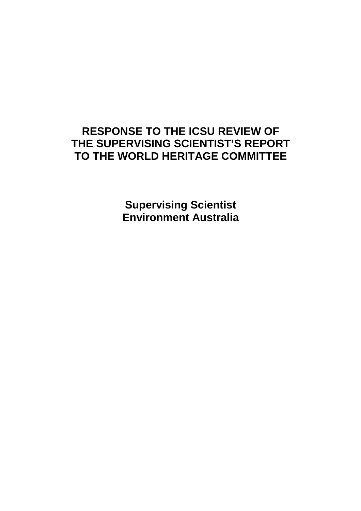# **RESPONSE TO THE ICSU REVIEW OF THE SUPERVISING SCIENTIST'S REPORT TO THE WORLD HERITAGE COMMITTEE**

**Supervising Scientist Environment Australia**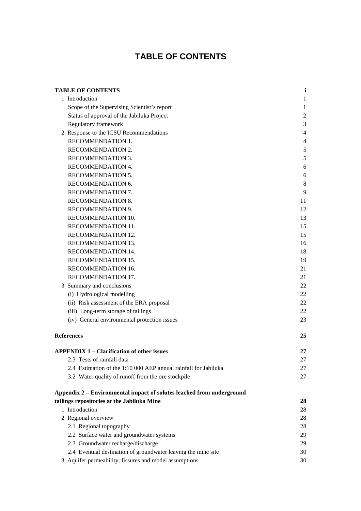# **TABLE OF CONTENTS**

|                   | <b>TABLE OF CONTENTS</b>                                              | $\mathbf{i}$   |
|-------------------|-----------------------------------------------------------------------|----------------|
|                   | 1 Introduction                                                        | 1              |
|                   | Scope of the Supervising Scientist's report                           | 1              |
|                   | Status of approval of the Jabiluka Project                            | $\mathfrak{2}$ |
|                   | Regulatory framework                                                  | 3              |
|                   | 2 Response to the ICSU Recommendations                                | 4              |
|                   | RECOMMENDATION 1.                                                     | 4              |
|                   | RECOMMENDATION 2.                                                     | 5              |
|                   | RECOMMENDATION 3.                                                     | 5              |
|                   | RECOMMENDATION 4.                                                     | 6              |
|                   | RECOMMENDATION 5.                                                     | 6              |
|                   | RECOMMENDATION 6.                                                     | 8              |
|                   | RECOMMENDATION 7.                                                     | 9              |
|                   | RECOMMENDATION 8.                                                     | 11             |
|                   | RECOMMENDATION 9.                                                     | 12             |
|                   | RECOMMENDATION 10.                                                    | 13             |
|                   | RECOMMENDATION 11.                                                    | 15             |
|                   | RECOMMENDATION 12.                                                    | 15             |
|                   | RECOMMENDATION 13.                                                    | 16             |
|                   | RECOMMENDATION 14.                                                    | 18             |
|                   | RECOMMENDATION 15.                                                    | 19             |
|                   | RECOMMENDATION 16.                                                    | 21             |
|                   | RECOMMENDATION 17.                                                    | 21             |
|                   | 3 Summary and conclusions                                             | 22             |
|                   | (i) Hydrological modelling                                            | 22             |
|                   | (ii) Risk assessment of the ERA proposal                              | 22             |
|                   | (iii) Long-term storage of tailings                                   | 22             |
|                   | (iv) General environmental protection issues                          | 23             |
| <b>References</b> |                                                                       | 25             |
|                   | <b>APPENDIX 1 – Clarification of other issues</b>                     | 27             |
|                   | 2.3 Tests of rainfall data                                            | 27             |
|                   | 2.4 Estimation of the 1:10 000 AEP annual rainfall for Jabiluka       | 27             |
|                   | 3.2 Water quality of runoff from the ore stockpile                    | 27             |
|                   | Appendix 2 – Environmental impact of solutes leached from underground |                |
|                   | tailings repositories at the Jabiluka Mine                            | 28             |
|                   | 1 Introduction                                                        | 28             |
|                   | 2 Regional overview                                                   | 28             |
|                   | 2.1 Regional topography                                               | 28             |
|                   | 2.2 Surface water and groundwater systems                             | 29             |
|                   | 2.3 Groundwater recharge/discharge                                    | 29             |
|                   | 2.4 Eventual destination of groundwater leaving the mine site         | 30             |
|                   | 3 Aquifer permeability, fissures and model assumptions                | 30             |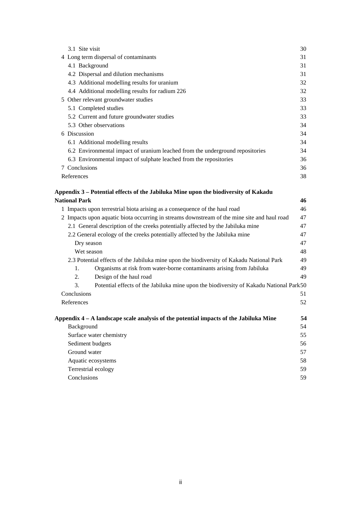| 3.1 Site visit                                                                               | 30 |
|----------------------------------------------------------------------------------------------|----|
| 4 Long term dispersal of contaminants                                                        | 31 |
| 4.1 Background                                                                               | 31 |
| 4.2 Dispersal and dilution mechanisms                                                        | 31 |
| 4.3 Additional modelling results for uranium                                                 | 32 |
| 4.4 Additional modelling results for radium 226                                              | 32 |
| 5 Other relevant groundwater studies                                                         | 33 |
| 5.1 Completed studies                                                                        | 33 |
| 5.2 Current and future groundwater studies                                                   | 33 |
| 5.3 Other observations                                                                       | 34 |
| 6 Discussion                                                                                 | 34 |
| 6.1 Additional modelling results                                                             | 34 |
| 6.2 Environmental impact of uranium leached from the underground repositories                | 34 |
| 6.3 Environmental impact of sulphate leached from the repositories                           | 36 |
| 7 Conclusions                                                                                | 36 |
| References                                                                                   | 38 |
| Appendix 3 – Potential effects of the Jabiluka Mine upon the biodiversity of Kakadu          |    |
| <b>National Park</b>                                                                         | 46 |
| 1 Impacts upon terrestrial biota arising as a consequence of the haul road                   | 46 |
| 2 Impacts upon aquatic biota occurring in streams downstream of the mine site and haul road  | 47 |
| 2.1 General description of the creeks potentially affected by the Jabiluka mine              | 47 |
| 2.2 General ecology of the creeks potentially affected by the Jabiluka mine                  | 47 |
| Dry season                                                                                   | 47 |
| Wet season                                                                                   | 48 |
| 2.3 Potential effects of the Jabiluka mine upon the biodiversity of Kakadu National Park     | 49 |
| Organisms at risk from water-borne contaminants arising from Jabiluka<br>1.                  | 49 |
| 2.<br>Design of the haul road                                                                | 49 |
| 3.<br>Potential effects of the Jabiluka mine upon the biodiversity of Kakadu National Park50 |    |
| Conclusions                                                                                  | 51 |
| References                                                                                   | 52 |
| Appendix $4 - A$ landscape scale analysis of the potential impacts of the Jabiluka Mine      | 54 |
| Background                                                                                   | 54 |
| Surface water chemistry                                                                      | 55 |
| Sediment budgets                                                                             | 56 |
| Ground water                                                                                 | 57 |
| Aquatic ecosystems                                                                           | 58 |
| Terrestrial ecology                                                                          | 59 |
| Conclusions                                                                                  | 59 |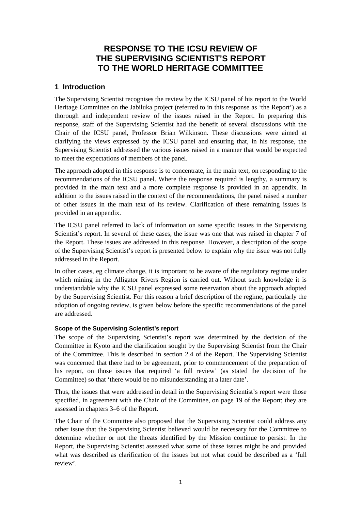## **RESPONSE TO THE ICSU REVIEW OF THE SUPERVISING SCIENTIST'S REPORT TO THE WORLD HERITAGE COMMITTEE**

### **1 Introduction**

The Supervising Scientist recognises the review by the ICSU panel of his report to the World Heritage Committee on the Jabiluka project (referred to in this response as 'the Report') as a thorough and independent review of the issues raised in the Report. In preparing this response, staff of the Supervising Scientist had the benefit of several discussions with the Chair of the ICSU panel, Professor Brian Wilkinson. These discussions were aimed at clarifying the views expressed by the ICSU panel and ensuring that, in his response, the Supervising Scientist addressed the various issues raised in a manner that would be expected to meet the expectations of members of the panel.

The approach adopted in this response is to concentrate, in the main text, on responding to the recommendations of the ICSU panel. Where the response required is lengthy, a summary is provided in the main text and a more complete response is provided in an appendix. In addition to the issues raised in the context of the recommendations, the panel raised a number of other issues in the main text of its review. Clarification of these remaining issues is provided in an appendix.

The ICSU panel referred to lack of information on some specific issues in the Supervising Scientist's report. In several of these cases, the issue was one that was raised in chapter 7 of the Report. These issues are addressed in this response. However, a description of the scope of the Supervising Scientist's report is presented below to explain why the issue was not fully addressed in the Report.

In other cases, eg climate change, it is important to be aware of the regulatory regime under which mining in the Alligator Rivers Region is carried out. Without such knowledge it is understandable why the ICSU panel expressed some reservation about the approach adopted by the Supervising Scientist. For this reason a brief description of the regime, particularly the adoption of ongoing review, is given below before the specific recommendations of the panel are addressed.

### **Scope of the Supervising Scientist's report**

The scope of the Supervising Scientist's report was determined by the decision of the Committee in Kyoto and the clarification sought by the Supervising Scientist from the Chair of the Committee. This is described in section 2.4 of the Report. The Supervising Scientist was concerned that there had to be agreement, prior to commencement of the preparation of his report, on those issues that required 'a full review' (as stated the decision of the Committee) so that 'there would be no misunderstanding at a later date'.

Thus, the issues that were addressed in detail in the Supervising Scientist's report were those specified, in agreement with the Chair of the Committee, on page 19 of the Report; they are assessed in chapters 3–6 of the Report.

The Chair of the Committee also proposed that the Supervising Scientist could address any other issue that the Supervising Scientist believed would be necessary for the Committee to determine whether or not the threats identified by the Mission continue to persist. In the Report, the Supervising Scientist assessed what some of these issues might be and provided what was described as clarification of the issues but not what could be described as a 'full review'.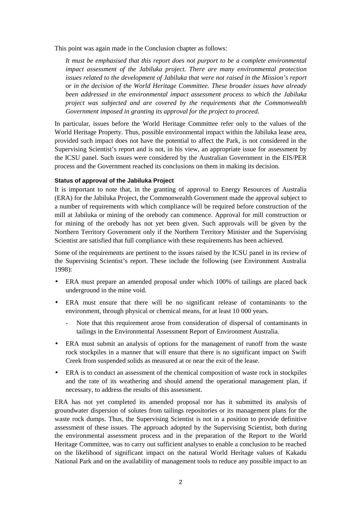This point was again made in the Conclusion chapter as follows:

*It must be emphasised that this report does not purport to be a complete environmental impact assessment of the Jabiluka project. There are many environmental protection issues related to the development of Jabiluka that were not raised in the Mission's report or in the decision of the World Heritage Committee. These broader issues have already been addressed in the environmental impact assessment process to which the Jabiluka project was subjected and are covered by the requirements that the Commonwealth Government imposed in granting its approval for the project to proceed.*

In particular, issues before the World Heritage Committee refer only to the values of the World Heritage Property. Thus, possible environmental impact within the Jabiluka lease area, provided such impact does not have the potential to affect the Park, is not considered in the Supervising Scientist's report and is not, in his view, an appropriate issue for assessment by the ICSU panel. Such issues were considered by the Australian Government in the EIS/PER process and the Government reached its conclusions on them in making its decision.

### **Status of approval of the Jabiluka Project**

It is important to note that, in the granting of approval to Energy Resources of Australia (ERA) for the Jabiluka Project, the Commonwealth Government made the approval subject to a number of requirements with which compliance will be required before construction of the mill at Jabiluka or mining of the orebody can commence. Approval for mill construction or for mining of the orebody has not yet been given. Such approvals will be given by the Northern Territory Government only if the Northern Territory Minister and the Supervising Scientist are satisfied that full compliance with these requirements has been achieved.

Some of the requirements are pertinent to the issues raised by the ICSU panel in its review of the Supervising Scientist's report. These include the following (see Environment Australia 1998):

- ERA must prepare an amended proposal under which 100% of tailings are placed back underground in the mine void.
- ERA must ensure that there will be no significant release of contaminants to the environment, through physical or chemical means, for at least 10 000 years.
	- Note that this requirement arose from consideration of dispersal of contaminants in tailings in the Environmental Assessment Report of Environment Australia.
- ERA must submit an analysis of options for the management of runoff from the waste rock stockpiles in a manner that will ensure that there is no significant impact on Swift Creek from suspended solids as measured at or near the exit of the lease.
- ERA is to conduct an assessment of the chemical composition of waste rock in stockpiles and the rate of its weathering and should amend the operational management plan, if necessary, to address the results of this assessment.

ERA has not yet completed its amended proposal nor has it submitted its analysis of groundwater dispersion of solutes from tailings repositories or its management plans for the waste rock dumps. Thus, the Supervising Scientist is not in a position to provide definitive assessment of these issues. The approach adopted by the Supervising Scientist, both during the environmental assessment process and in the preparation of the Report to the World Heritage Committee, was to carry out sufficient analyses to enable a conclusion to be reached on the likelihood of significant impact on the natural World Heritage values of Kakadu National Park and on the availability of management tools to reduce any possible impact to an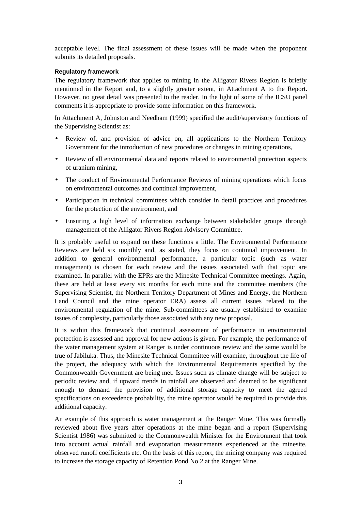acceptable level. The final assessment of these issues will be made when the proponent submits its detailed proposals.

### **Regulatory framework**

The regulatory framework that applies to mining in the Alligator Rivers Region is briefly mentioned in the Report and, to a slightly greater extent, in Attachment A to the Report. However, no great detail was presented to the reader. In the light of some of the ICSU panel comments it is appropriate to provide some information on this framework.

In Attachment A, Johnston and Needham (1999) specified the audit/supervisory functions of the Supervising Scientist as:

- Review of, and provision of advice on, all applications to the Northern Territory Government for the introduction of new procedures or changes in mining operations,
- Review of all environmental data and reports related to environmental protection aspects of uranium mining,
- The conduct of Environmental Performance Reviews of mining operations which focus on environmental outcomes and continual improvement,
- Participation in technical committees which consider in detail practices and procedures for the protection of the environment, and
- Ensuring a high level of information exchange between stakeholder groups through management of the Alligator Rivers Region Advisory Committee.

It is probably useful to expand on these functions a little. The Environmental Performance Reviews are held six monthly and, as stated, they focus on continual improvement. In addition to general environmental performance, a particular topic (such as water management) is chosen for each review and the issues associated with that topic are examined. In parallel with the EPRs are the Minesite Technical Committee meetings. Again, these are held at least every six months for each mine and the committee members (the Supervising Scientist, the Northern Territory Department of Mines and Energy, the Northern Land Council and the mine operator ERA) assess all current issues related to the environmental regulation of the mine. Sub-committees are usually established to examine issues of complexity, particularly those associated with any new proposal.

It is within this framework that continual assessment of performance in environmental protection is assessed and approval for new actions is given. For example, the performance of the water management system at Ranger is under continuous review and the same would be true of Jabiluka. Thus, the Minesite Technical Committee will examine, throughout the life of the project, the adequacy with which the Environmental Requirements specified by the Commonwealth Government are being met. Issues such as climate change will be subject to periodic review and, if upward trends in rainfall are observed and deemed to be significant enough to demand the provision of additional storage capacity to meet the agreed specifications on exceedence probability, the mine operator would be required to provide this additional capacity.

An example of this approach is water management at the Ranger Mine. This was formally reviewed about five years after operations at the mine began and a report (Supervising Scientist 1986) was submitted to the Commonwealth Minister for the Environment that took into account actual rainfall and evaporation measurements experienced at the minesite, observed runoff coefficients etc. On the basis of this report, the mining company was required to increase the storage capacity of Retention Pond No 2 at the Ranger Mine.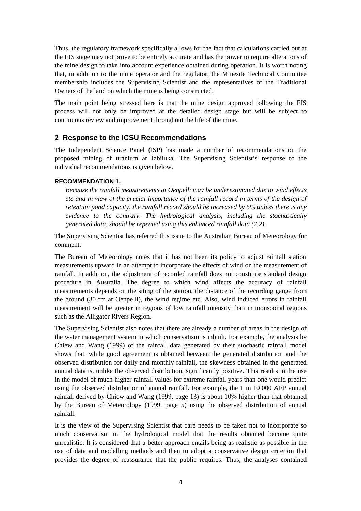Thus, the regulatory framework specifically allows for the fact that calculations carried out at the EIS stage may not prove to be entirely accurate and has the power to require alterations of the mine design to take into account experience obtained during operation. It is worth noting that, in addition to the mine operator and the regulator, the Minesite Technical Committee membership includes the Supervising Scientist and the representatives of the Traditional Owners of the land on which the mine is being constructed.

The main point being stressed here is that the mine design approved following the EIS process will not only be improved at the detailed design stage but will be subject to continuous review and improvement throughout the life of the mine.

### **2 Response to the ICSU Recommendations**

The Independent Science Panel (ISP) has made a number of recommendations on the proposed mining of uranium at Jabiluka. The Supervising Scientist's response to the individual recommendations is given below.

### **RECOMMENDATION 1.**

*Because the rainfall measurements at Oenpelli may be underestimated due to wind effects etc and in view of the crucial importance of the rainfall record in terms of the design of retention pond capacity, the rainfall record should be increased by 5% unless there is any evidence to the contrary. The hydrological analysis, including the stochastically generated data, should be repeated using this enhanced rainfall data (2.2).*

The Supervising Scientist has referred this issue to the Australian Bureau of Meteorology for comment.

The Bureau of Meteorology notes that it has not been its policy to adjust rainfall station measurements upward in an attempt to incorporate the effects of wind on the measurement of rainfall. In addition, the adjustment of recorded rainfall does not constitute standard design procedure in Australia. The degree to which wind affects the accuracy of rainfall measurements depends on the siting of the station, the distance of the recording gauge from the ground (30 cm at Oenpelli), the wind regime etc. Also, wind induced errors in rainfall measurement will be greater in regions of low rainfall intensity than in monsoonal regions such as the Alligator Rivers Region.

The Supervising Scientist also notes that there are already a number of areas in the design of the water management system in which conservatism is inbuilt. For example, the analysis by Chiew and Wang (1999) of the rainfall data generated by their stochastic rainfall model shows that, while good agreement is obtained between the generated distribution and the observed distribution for daily and monthly rainfall, the skewness obtained in the generated annual data is, unlike the observed distribution, significantly positive. This results in the use in the model of much higher rainfall values for extreme rainfall years than one would predict using the observed distribution of annual rainfall. For example, the 1 in 10 000 AEP annual rainfall derived by Chiew and Wang (1999, page 13) is about 10% higher than that obtained by the Bureau of Meteorology (1999, page 5) using the observed distribution of annual rainfall.

It is the view of the Supervising Scientist that care needs to be taken not to incorporate so much conservatism in the hydrological model that the results obtained become quite unrealistic. It is considered that a better approach entails being as realistic as possible in the use of data and modelling methods and then to adopt a conservative design criterion that provides the degree of reassurance that the public requires. Thus, the analyses contained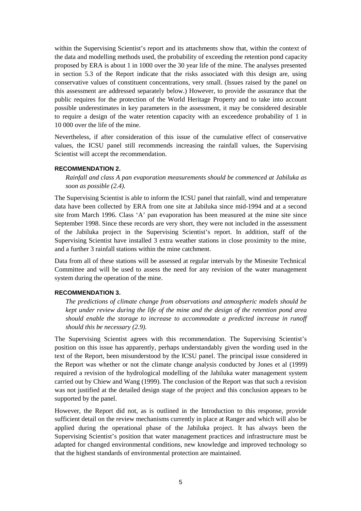within the Supervising Scientist's report and its attachments show that, within the context of the data and modelling methods used, the probability of exceeding the retention pond capacity proposed by ERA is about 1 in 1000 over the 30 year life of the mine. The analyses presented in section 5.3 of the Report indicate that the risks associated with this design are, using conservative values of constituent concentrations, very small. (Issues raised by the panel on this assessment are addressed separately below.) However, to provide the assurance that the public requires for the protection of the World Heritage Property and to take into account possible underestimates in key parameters in the assessment, it may be considered desirable to require a design of the water retention capacity with an exceedence probability of 1 in 10 000 over the life of the mine.

Nevertheless, if after consideration of this issue of the cumulative effect of conservative values, the ICSU panel still recommends increasing the rainfall values, the Supervising Scientist will accept the recommendation.

#### **RECOMMENDATION 2.**

*Rainfall and class A pan evaporation measurements should be commenced at Jabiluka as soon as possible (2.4).*

The Supervising Scientist is able to inform the ICSU panel that rainfall, wind and temperature data have been collected by ERA from one site at Jabiluka since mid-1994 and at a second site from March 1996. Class 'A' pan evaporation has been measured at the mine site since September 1998. Since these records are very short, they were not included in the assessment of the Jabiluka project in the Supervising Scientist's report. In addition, staff of the Supervising Scientist have installed 3 extra weather stations in close proximity to the mine, and a further 3 rainfall stations within the mine catchment.

Data from all of these stations will be assessed at regular intervals by the Minesite Technical Committee and will be used to assess the need for any revision of the water management system during the operation of the mine.

#### **RECOMMENDATION 3.**

*The predictions of climate change from observations and atmospheric models should be kept under review during the life of the mine and the design of the retention pond area should enable the storage to increase to accommodate a predicted increase in runoff should this be necessary (2.9).*

The Supervising Scientist agrees with this recommendation. The Supervising Scientist's position on this issue has apparently, perhaps understandably given the wording used in the text of the Report, been misunderstood by the ICSU panel. The principal issue considered in the Report was whether or not the climate change analysis conducted by Jones et al (1999) required a revision of the hydrological modelling of the Jabiluka water management system carried out by Chiew and Wang (1999). The conclusion of the Report was that such a revision was not justified at the detailed design stage of the project and this conclusion appears to be supported by the panel.

However, the Report did not, as is outlined in the Introduction to this response, provide sufficient detail on the review mechanisms currently in place at Ranger and which will also be applied during the operational phase of the Jabiluka project. It has always been the Supervising Scientist's position that water management practices and infrastructure must be adapted for changed environmental conditions, new knowledge and improved technology so that the highest standards of environmental protection are maintained.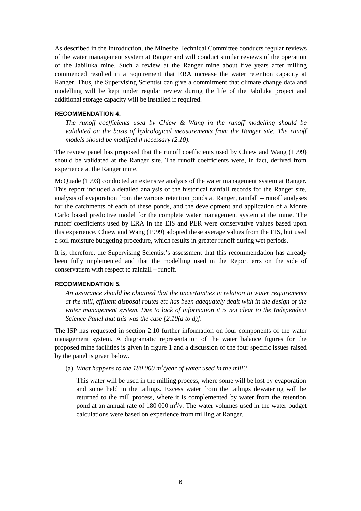As described in the Introduction, the Minesite Technical Committee conducts regular reviews of the water management system at Ranger and will conduct similar reviews of the operation of the Jabiluka mine. Such a review at the Ranger mine about five years after milling commenced resulted in a requirement that ERA increase the water retention capacity at Ranger. Thus, the Supervising Scientist can give a commitment that climate change data and modelling will be kept under regular review during the life of the Jabiluka project and additional storage capacity will be installed if required.

#### **RECOMMENDATION 4.**

*The runoff coefficients used by Chiew & Wang in the runoff modelling should be validated on the basis of hydrological measurements from the Ranger site. The runoff models should be modified if necessary (2.10).*

The review panel has proposed that the runoff coefficients used by Chiew and Wang (1999) should be validated at the Ranger site. The runoff coefficients were, in fact, derived from experience at the Ranger mine.

McQuade (1993) conducted an extensive analysis of the water management system at Ranger. This report included a detailed analysis of the historical rainfall records for the Ranger site, analysis of evaporation from the various retention ponds at Ranger, rainfall – runoff analyses for the catchments of each of these ponds, and the development and application of a Monte Carlo based predictive model for the complete water management system at the mine. The runoff coefficients used by ERA in the EIS and PER were conservative values based upon this experience. Chiew and Wang (1999) adopted these average values from the EIS, but used a soil moisture budgeting procedure, which results in greater runoff during wet periods.

It is, therefore, the Supervising Scientist's assessment that this recommendation has already been fully implemented and that the modelling used in the Report errs on the side of conservatism with respect to rainfall – runoff.

#### **RECOMMENDATION 5.**

*An assurance should be obtained that the uncertainties in relation to water requirements at the mill, effluent disposal routes etc has been adequately dealt with in the design of the water management system. Due to lack of information it is not clear to the Independent Science Panel that this was the case [2.10(a to d)].*

The ISP has requested in section 2.10 further information on four components of the water management system. A diagramatic representation of the water balance figures for the proposed mine facilities is given in figure 1 and a discussion of the four specific issues raised by the panel is given below.

(a) What happens to the  $180\,000\,\mathrm{m}^3/\mathrm{year}$  of water used in the mill?

This water will be used in the milling process, where some will be lost by evaporation and some held in the tailings. Excess water from the tailings dewatering will be returned to the mill process, where it is complemented by water from the retention pond at an annual rate of 180 000  $\mathrm{m}^3/\mathrm{y}$ . The water volumes used in the water budget calculations were based on experience from milling at Ranger.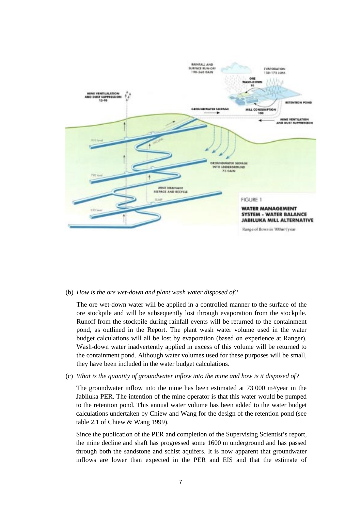

#### (b) *How is the ore wet-down and plant wash water disposed of?*

The ore wet-down water will be applied in a controlled manner to the surface of the ore stockpile and will be subsequently lost through evaporation from the stockpile. Runoff from the stockpile during rainfall events will be returned to the containment pond, as outlined in the Report. The plant wash water volume used in the water budget calculations will all be lost by evaporation (based on experience at Ranger). Wash-down water inadvertently applied in excess of this volume will be returned to the containment pond. Although water volumes used for these purposes will be small, they have been included in the water budget calculations.

(c) *What is the quantity of groundwater inflow into the mine and how is it disposed of?*

The groundwater inflow into the mine has been estimated at 73 000 m3/year in the Jabiluka PER. The intention of the mine operator is that this water would be pumped to the retention pond. This annual water volume has been added to the water budget calculations undertaken by Chiew and Wang for the design of the retention pond (see table 2.1 of Chiew & Wang 1999).

Since the publication of the PER and completion of the Supervising Scientist's report, the mine decline and shaft has progressed some 1600 m underground and has passed through both the sandstone and schist aquifers. It is now apparent that groundwater inflows are lower than expected in the PER and EIS and that the estimate of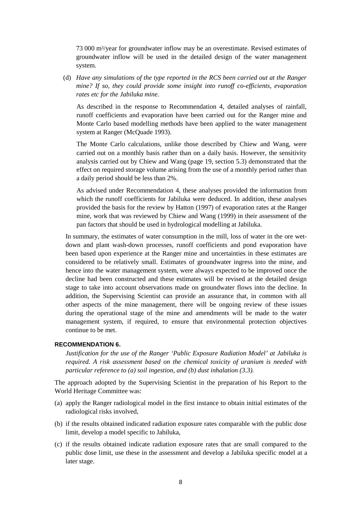73 000 m3/year for groundwater inflow may be an overestimate. Revised estimates of groundwater inflow will be used in the detailed design of the water management system.

(d) *Have any simulations of the type reported in the RCS been carried out at the Ranger mine? If so, they could provide some insight into runoff co-efficients, evaporation rates etc for the Jabiluka mine.*

As described in the response to Recommendation 4, detailed analyses of rainfall, runoff coefficients and evaporation have been carried out for the Ranger mine and Monte Carlo based modelling methods have been applied to the water management system at Ranger (McQuade 1993).

The Monte Carlo calculations, unlike those described by Chiew and Wang, were carried out on a monthly basis rather than on a daily basis. However, the sensitivity analysis carried out by Chiew and Wang (page 19, section 5.3) demonstrated that the effect on required storage volume arising from the use of a monthly period rather than a daily period should be less than 2%.

As advised under Recommendation 4, these analyses provided the information from which the runoff coefficients for Jabiluka were deduced. In addition, these analyses provided the basis for the review by Hatton (1997) of evaporation rates at the Ranger mine, work that was reviewed by Chiew and Wang (1999) in their assessment of the pan factors that should be used in hydrological modelling at Jabiluka.

In summary, the estimates of water consumption in the mill, loss of water in the ore wetdown and plant wash-down processes, runoff coefficients and pond evaporation have been based upon experience at the Ranger mine and uncertainties in these estimates are considered to be relatively small. Estimates of groundwater ingress into the mine, and hence into the water management system, were always expected to be improved once the decline had been constructed and these estimates will be revised at the detailed design stage to take into account observations made on groundwater flows into the decline. In addition, the Supervising Scientist can provide an assurance that, in common with all other aspects of the mine management, there will be ongoing review of these issues during the operational stage of the mine and amendments will be made to the water management system, if required, to ensure that environmental protection objectives continue to be met.

### **RECOMMENDATION 6.**

*Justification for the use of the Ranger 'Public Exposure Radiation Model' at Jabiluka is required. A risk assessment based on the chemical toxicity of uranium is needed with particular reference to (a) soil ingestion, and (b) dust inhalation (3.3).*

The approach adopted by the Supervising Scientist in the preparation of his Report to the World Heritage Committee was:

- (a) apply the Ranger radiological model in the first instance to obtain initial estimates of the radiological risks involved,
- (b) if the results obtained indicated radiation exposure rates comparable with the public dose limit, develop a model specific to Jabiluka,
- (c) if the results obtained indicate radiation exposure rates that are small compared to the public dose limit, use these in the assessment and develop a Jabiluka specific model at a later stage.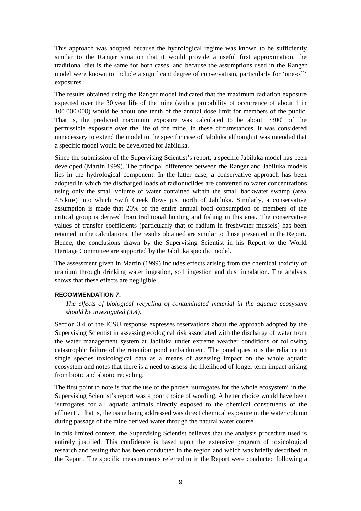This approach was adopted because the hydrological regime was known to be sufficiently similar to the Ranger situation that it would provide a useful first approximation, the traditional diet is the same for both cases, and because the assumptions used in the Ranger model were known to include a significant degree of conservatism, particularly for 'one-off' exposures.

The results obtained using the Ranger model indicated that the maximum radiation exposure expected over the 30 year life of the mine (with a probability of occurrence of about 1 in 100 000 000) would be about one tenth of the annual dose limit for members of the public. That is, the predicted maximum exposure was calculated to be about  $1/300<sup>th</sup>$  of the permissible exposure over the life of the mine. In these circumstances, it was considered unnecessary to extend the model to the specific case of Jabiluka although it was intended that a specific model would be developed for Jabiluka.

Since the submission of the Supervising Scientist's report, a specific Jabiluka model has been developed (Martin 1999). The principal difference between the Ranger and Jabiluka models lies in the hydrological component. In the latter case, a conservative approach has been adopted in which the discharged loads of radionuclides are converted to water concentrations using only the small volume of water contained within the small backwater swamp (area 4.5 km2) into which Swift Creek flows just north of Jabiluka. Similarly, a conservative assumption is made that 20% of the entire annual food consumption of members of the critical group is derived from traditional hunting and fishing in this area. The conservative values of transfer coefficients (particularly that of radium in freshwater mussels) has been retained in the calculations. The results obtained are similar to those presented in the Report. Hence, the conclusions drawn by the Supervising Scientist in his Report to the World Heritage Committee are supported by the Jabiluka specific model.

The assessment given in Martin (1999) includes effects arising from the chemical toxicity of uranium through drinking water ingestion, soil ingestion and dust inhalation. The analysis shows that these effects are negligible.

### **RECOMMENDATION 7.**

*The effects of biological recycling of contaminated material in the aquatic ecosystem should be investigated (3.4).*

Section 3.4 of the ICSU response expresses reservations about the approach adopted by the Supervising Scientist in assessing ecological risk associated with the discharge of water from the water management system at Jabiluka under extreme weather conditions or following catastrophic failure of the retention pond embankment. The panel questions the reliance on single species toxicological data as a means of assessing impact on the whole aquatic ecosystem and notes that there is a need to assess the likelihood of longer term impact arising from biotic and abiotic recycling.

The first point to note is that the use of the phrase 'surrogates for the whole ecosystem' in the Supervising Scientist's report was a poor choice of wording. A better choice would have been 'surrogates for all aquatic animals directly exposed to the chemical constituents of the effluent'. That is, the issue being addressed was direct chemical exposure in the water column during passage of the mine derived water through the natural water course.

In this limited context, the Supervising Scientist believes that the analysis procedure used is entirely justified. This confidence is based upon the extensive program of toxicological research and testing that has been conducted in the region and which was briefly described in the Report. The specific measurements referred to in the Report were conducted following a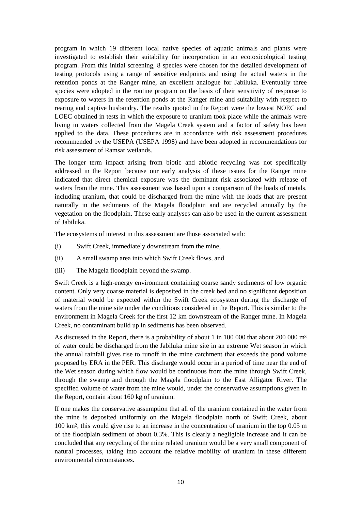program in which 19 different local native species of aquatic animals and plants were investigated to establish their suitability for incorporation in an ecotoxicological testing program. From this initial screening, 8 species were chosen for the detailed development of testing protocols using a range of sensitive endpoints and using the actual waters in the retention ponds at the Ranger mine, an excellent analogue for Jabiluka. Eventually three species were adopted in the routine program on the basis of their sensitivity of response to exposure to waters in the retention ponds at the Ranger mine and suitability with respect to rearing and captive husbandry. The results quoted in the Report were the lowest NOEC and LOEC obtained in tests in which the exposure to uranium took place while the animals were living in waters collected from the Magela Creek system and a factor of safety has been applied to the data. These procedures are in accordance with risk assessment procedures recommended by the USEPA (USEPA 1998) and have been adopted in recommendations for risk assessment of Ramsar wetlands.

The longer term impact arising from biotic and abiotic recycling was not specifically addressed in the Report because our early analysis of these issues for the Ranger mine indicated that direct chemical exposure was the dominant risk associated with release of waters from the mine. This assessment was based upon a comparison of the loads of metals, including uranium, that could be discharged from the mine with the loads that are present naturally in the sediments of the Magela floodplain and are recycled annually by the vegetation on the floodplain. These early analyses can also be used in the current assessment of Jabiluka.

The ecosystems of interest in this assessment are those associated with:

- (i) Swift Creek, immediately downstream from the mine,
- (ii) A small swamp area into which Swift Creek flows, and
- (iii) The Magela floodplain beyond the swamp.

Swift Creek is a high-energy environment containing coarse sandy sediments of low organic content. Only very coarse material is deposited in the creek bed and no significant deposition of material would be expected within the Swift Creek ecosystem during the discharge of waters from the mine site under the conditions considered in the Report. This is similar to the environment in Magela Creek for the first 12 km downstream of the Ranger mine. In Magela Creek, no contaminant build up in sediments has been observed.

As discussed in the Report, there is a probability of about 1 in 100 000 that about 200 000 m<sup>3</sup> of water could be discharged from the Jabiluka mine site in an extreme Wet season in which the annual rainfall gives rise to runoff in the mine catchment that exceeds the pond volume proposed by ERA in the PER. This discharge would occur in a period of time near the end of the Wet season during which flow would be continuous from the mine through Swift Creek, through the swamp and through the Magela floodplain to the East Alligator River. The specified volume of water from the mine would, under the conservative assumptions given in the Report, contain about 160 kg of uranium.

If one makes the conservative assumption that all of the uranium contained in the water from the mine is deposited uniformly on the Magela floodplain north of Swift Creek, about 100 km2, this would give rise to an increase in the concentration of uranium in the top 0.05 m of the floodplain sediment of about 0.3%. This is clearly a negligible increase and it can be concluded that any recycling of the mine related uranium would be a very small component of natural processes, taking into account the relative mobility of uranium in these different environmental circumstances.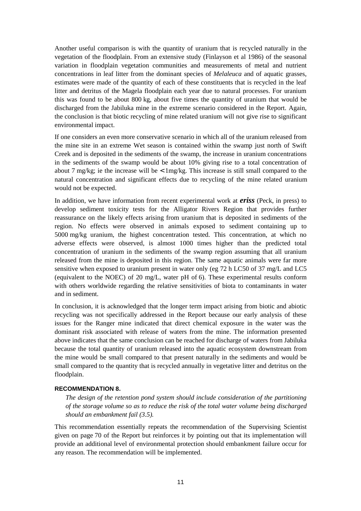Another useful comparison is with the quantity of uranium that is recycled naturally in the vegetation of the floodplain. From an extensive study (Finlayson et al 1986) of the seasonal variation in floodplain vegetation communities and measurements of metal and nutrient concentrations in leaf litter from the dominant species of *Melaleuca* and of aquatic grasses, estimates were made of the quantity of each of these constituents that is recycled in the leaf litter and detritus of the Magela floodplain each year due to natural processes. For uranium this was found to be about 800 kg, about five times the quantity of uranium that would be discharged from the Jabiluka mine in the extreme scenario considered in the Report. Again, the conclusion is that biotic recycling of mine related uranium will not give rise to significant environmental impact.

If one considers an even more conservative scenario in which all of the uranium released from the mine site in an extreme Wet season is contained within the swamp just north of Swift Creek and is deposited in the sediments of the swamp, the increase in uranium concentrations in the sediments of the swamp would be about 10% giving rise to a total concentration of about 7 mg/kg; ie the increase will be  $\langle 1 \rangle$  1 mg/kg. This increase is still small compared to the natural concentration and significant effects due to recycling of the mine related uranium would not be expected.

In addition, we have information from recent experimental work at *eriss* (Peck, in press) to develop sediment toxicity tests for the Alligator Rivers Region that provides further reassurance on the likely effects arising from uranium that is deposited in sediments of the region. No effects were observed in animals exposed to sediment containing up to 5000 mg/kg uranium, the highest concentration tested. This concentration, at which no adverse effects were observed, is almost 1000 times higher than the predicted total concentration of uranium in the sediments of the swamp region assuming that all uranium released from the mine is deposited in this region. The same aquatic animals were far more sensitive when exposed to uranium present in water only (eg 72 h LC50 of 37 mg/L and LC5 (equivalent to the NOEC) of 20 mg/L, water pH of 6). These experimental results conform with others worldwide regarding the relative sensitivities of biota to contaminants in water and in sediment.

In conclusion, it is acknowledged that the longer term impact arising from biotic and abiotic recycling was not specifically addressed in the Report because our early analysis of these issues for the Ranger mine indicated that direct chemical exposure in the water was the dominant risk associated with release of waters from the mine. The information presented above indicates that the same conclusion can be reached for discharge of waters from Jabiluka because the total quantity of uranium released into the aquatic ecosystem downstream from the mine would be small compared to that present naturally in the sediments and would be small compared to the quantity that is recycled annually in vegetative litter and detritus on the floodplain.

### **RECOMMENDATION 8.**

*The design of the retention pond system should include consideration of the partitioning of the storage volume so as to reduce the risk of the total water volume being discharged should an embankment fail (3.5).*

This recommendation essentially repeats the recommendation of the Supervising Scientist given on page 70 of the Report but reinforces it by pointing out that its implementation will provide an additional level of environmental protection should embankment failure occur for any reason. The recommendation will be implemented.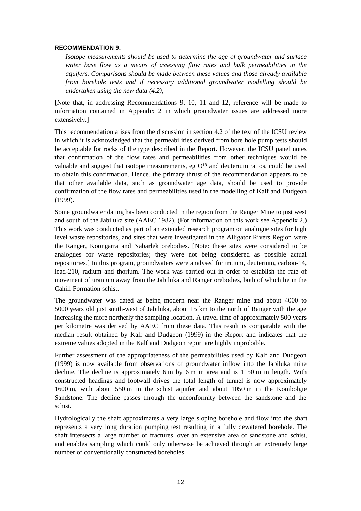#### **RECOMMENDATION 9.**

*Isotope measurements should be used to determine the age of groundwater and surface water base flow as a means of assessing flow rates and bulk permeabilities in the aquifers. Comparisons should be made between these values and those already available from borehole tests and if necessary additional groundwater modelling should be undertaken using the new data (4.2);*

[Note that, in addressing Recommendations 9, 10, 11 and 12, reference will be made to information contained in Appendix 2 in which groundwater issues are addressed more extensively.]

This recommendation arises from the discussion in section 4.2 of the text of the ICSU review in which it is acknowledged that the permeabilities derived from bore hole pump tests should be acceptable for rocks of the type described in the Report. However, the ICSU panel notes that confirmation of the flow rates and permeabilities from other techniques would be valuable and suggest that isotope measurements, eg O18 and deuterium ratios, could be used to obtain this confirmation. Hence, the primary thrust of the recommendation appears to be that other available data, such as groundwater age data, should be used to provide confirmation of the flow rates and permeabilities used in the modelling of Kalf and Dudgeon (1999).

Some groundwater dating has been conducted in the region from the Ranger Mine to just west and south of the Jabiluka site (AAEC 1982). (For information on this work see Appendix 2.) This work was conducted as part of an extended research program on analogue sites for high level waste repositories, and sites that were investigated in the Alligator Rivers Region were the Ranger, Koongarra and Nabarlek orebodies. [Note: these sites were considered to be analogues for waste repositories; they were not being considered as possible actual repositories.] In this program, groundwaters were analysed for tritium, deuterium, carbon-14, lead-210, radium and thorium. The work was carried out in order to establish the rate of movement of uranium away from the Jabiluka and Ranger orebodies, both of which lie in the Cahill Formation schist.

The groundwater was dated as being modern near the Ranger mine and about 4000 to 5000 years old just south-west of Jabiluka, about 15 km to the north of Ranger with the age increasing the more northerly the sampling location. A travel time of approximately 500 years per kilometre was derived by AAEC from these data. This result is comparable with the median result obtained by Kalf and Dudgeon (1999) in the Report and indicates that the extreme values adopted in the Kalf and Dudgeon report are highly improbable.

Further assessment of the appropriateness of the permeabilities used by Kalf and Dudgeon (1999) is now available from observations of groundwater inflow into the Jabiluka mine decline. The decline is approximately 6 m by 6 m in area and is 1150 m in length. With constructed headings and footwall drives the total length of tunnel is now approximately 1600 m, with about 550 m in the schist aquifer and about 1050 m in the Kombolgie Sandstone. The decline passes through the unconformity between the sandstone and the schist.

Hydrologically the shaft approximates a very large sloping borehole and flow into the shaft represents a very long duration pumping test resulting in a fully dewatered borehole. The shaft intersects a large number of fractures, over an extensive area of sandstone and schist, and enables sampling which could only otherwise be achieved through an extremely large number of conventionally constructed boreholes.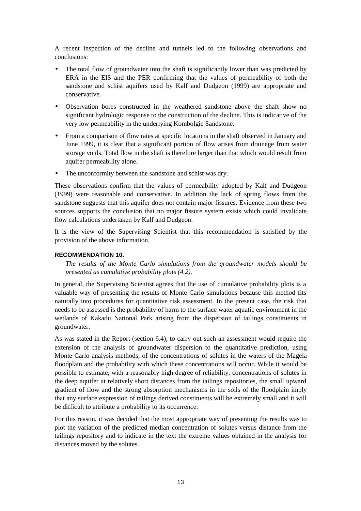A recent inspection of the decline and tunnels led to the following observations and conclusions:

- The total flow of groundwater into the shaft is significantly lower than was predicted by ERA in the EIS and the PER confirming that the values of permeability of both the sandstone and schist aquifers used by Kalf and Dudgeon (1999) are appropriate and conservative.
- Observation bores constructed in the weathered sandstone above the shaft show no significant hydrologic response to the construction of the decline. This is indicative of the very low permeability in the underlying Kombolgie Sandstone.
- From a comparison of flow rates at specific locations in the shaft observed in January and June 1999, it is clear that a significant portion of flow arises from drainage from water storage voids. Total flow in the shaft is therefore larger than that which would result from aquifer permeability alone.
- The unconformity between the sandstone and schist was dry.

These observations confirm that the values of permeability adopted by Kalf and Dudgeon (1999) were reasonable and conservative. In addition the lack of spring flows from the sandstone suggests that this aquifer does not contain major fissures. Evidence from these two sources supports the conclusion that no major fissure system exists which could invalidate flow calculations undertaken by Kalf and Dudgeon.

It is the view of the Supervising Scientist that this recommendation is satisfied by the provision of the above information.

### **RECOMMENDATION 10.**

*The results of the Monte Carlo simulations from the groundwater models should be presented as cumulative probability plots (4.2).*

In general, the Supervising Scientist agrees that the use of cumulative probability plots is a valuable way of presenting the results of Monte Carlo simulations because this method fits naturally into procedures for quantitative risk assessment. In the present case, the risk that needs to be assessed is the probability of harm to the surface water aquatic environment in the wetlands of Kakadu National Park arising from the dispersion of tailings constituents in groundwater.

As was stated in the Report (section 6.4), to carry out such an assessment would require the extension of the analysis of groundwater dispersion to the quantitative prediction, using Monte Carlo analysis methods, of the concentrations of solutes in the waters of the Magela floodplain and the probability with which these concentrations will occur. While it would be possible to estimate, with a reasonably high degree of reliability, concentrations of solutes in the deep aquifer at relatively short distances from the tailings repositories, the small upward gradient of flow and the strong absorption mechanisms in the soils of the floodplain imply that any surface expression of tailings derived constituents will be extremely small and it will be difficult to attribute a probability to its occurrence.

For this reason, it was decided that the most appropriate way of presenting the results was to plot the variation of the predicted median concentration of solutes versus distance from the tailings repository and to indicate in the text the extreme values obtained in the analysis for distances moved by the solutes.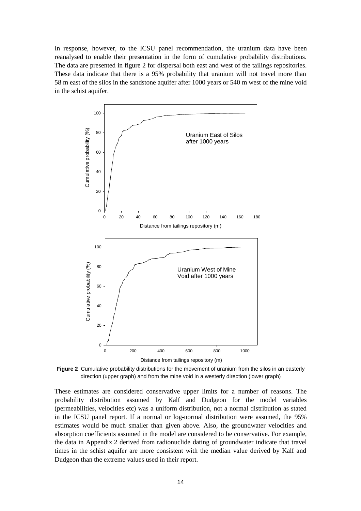In response, however, to the ICSU panel recommendation, the uranium data have been reanalysed to enable their presentation in the form of cumulative probability distributions. The data are presented in figure 2 for dispersal both east and west of the tailings repositories. These data indicate that there is a 95% probability that uranium will not travel more than 58 m east of the silos in the sandstone aquifer after 1000 years or 540 m west of the mine void in the schist aquifer.



**Figure 2** Cumulative probability distributions for the movement of uranium from the silos in an easterly direction (upper graph) and from the mine void in a westerly direction (lower graph)

These estimates are considered conservative upper limits for a number of reasons. The probability distribution assumed by Kalf and Dudgeon for the model variables (permeabilities, velocities etc) was a uniform distribution, not a normal distribution as stated in the ICSU panel report. If a normal or log-normal distribution were assumed, the 95% estimates would be much smaller than given above. Also, the groundwater velocities and absorption coefficients assumed in the model are considered to be conservative. For example, the data in Appendix 2 derived from radionuclide dating of groundwater indicate that travel times in the schist aquifer are more consistent with the median value derived by Kalf and Dudgeon than the extreme values used in their report.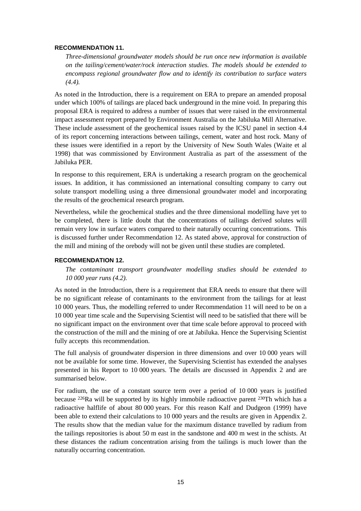#### **RECOMMENDATION 11.**

*Three-dimensional groundwater models should be run once new information is available on the tailing/cement/water/rock interaction studies. The models should be extended to encompass regional groundwater flow and to identify its contribution to surface waters (4.4).*

As noted in the Introduction, there is a requirement on ERA to prepare an amended proposal under which 100% of tailings are placed back underground in the mine void. In preparing this proposal ERA is required to address a number of issues that were raised in the environmental impact assessment report prepared by Environment Australia on the Jabiluka Mill Alternative. These include assessment of the geochemical issues raised by the ICSU panel in section 4.4 of its report concerning interactions between tailings, cement, water and host rock. Many of these issues were identified in a report by the University of New South Wales (Waite et al 1998) that was commissioned by Environment Australia as part of the assessment of the Jabiluka PER.

In response to this requirement, ERA is undertaking a research program on the geochemical issues. In addition, it has commissioned an international consulting company to carry out solute transport modelling using a three dimensional groundwater model and incorporating the results of the geochemical research program.

Nevertheless, while the geochemical studies and the three dimensional modelling have yet to be completed, there is little doubt that the concentrations of tailings derived solutes will remain very low in surface waters compared to their naturally occurring concentrations. This is discussed further under Recommendation 12. As stated above, approval for construction of the mill and mining of the orebody will not be given until these studies are completed.

### **RECOMMENDATION 12.**

*The contaminant transport groundwater modelling studies should be extended to 10 000 year runs (4.2).*

As noted in the Introduction, there is a requirement that ERA needs to ensure that there will be no significant release of contaminants to the environment from the tailings for at least 10 000 years. Thus, the modelling referred to under Recommendation 11 will need to be on a 10 000 year time scale and the Supervising Scientist will need to be satisfied that there will be no significant impact on the environment over that time scale before approval to proceed with the construction of the mill and the mining of ore at Jabiluka. Hence the Supervising Scientist fully accepts this recommendation.

The full analysis of groundwater dispersion in three dimensions and over 10 000 years will not be available for some time. However, the Supervising Scientist has extended the analyses presented in his Report to 10 000 years. The details are discussed in Appendix 2 and are summarised below.

For radium, the use of a constant source term over a period of 10 000 years is justified because 226Ra will be supported by its highly immobile radioactive parent 230Th which has a radioactive halflife of about 80 000 years. For this reason Kalf and Dudgeon (1999) have been able to extend their calculations to 10 000 years and the results are given in Appendix 2. The results show that the median value for the maximum distance travelled by radium from the tailings repositories is about 50 m east in the sandstone and 400 m west in the schists. At these distances the radium concentration arising from the tailings is much lower than the naturally occurring concentration.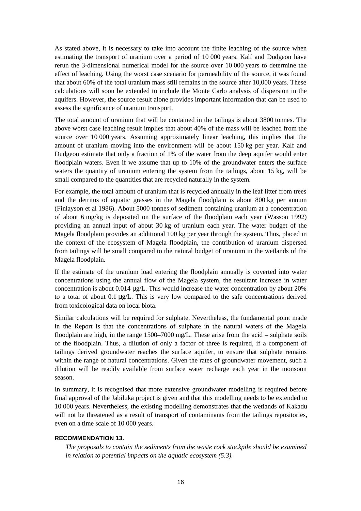As stated above, it is necessary to take into account the finite leaching of the source when estimating the transport of uranium over a period of 10 000 years. Kalf and Dudgeon have rerun the 3-dimensional numerical model for the source over 10 000 years to determine the effect of leaching. Using the worst case scenario for permeability of the source, it was found that about 60% of the total uranium mass still remains in the source after 10,000 years. These calculations will soon be extended to include the Monte Carlo analysis of dispersion in the aquifers. However, the source result alone provides important information that can be used to assess the significance of uranium transport.

The total amount of uranium that will be contained in the tailings is about 3800 tonnes. The above worst case leaching result implies that about 40% of the mass will be leached from the source over 10 000 years. Assuming approximately linear leaching, this implies that the amount of uranium moving into the environment will be about 150 kg per year. Kalf and Dudgeon estimate that only a fraction of 1% of the water from the deep aquifer would enter floodplain waters. Even if we assume that up to 10% of the groundwater enters the surface waters the quantity of uranium entering the system from the tailings, about 15 kg, will be small compared to the quantities that are recycled naturally in the system.

For example, the total amount of uranium that is recycled annually in the leaf litter from trees and the detritus of aquatic grasses in the Magela floodplain is about 800 kg per annum (Finlayson et al 1986). About 5000 tonnes of sediment containing uranium at a concentration of about 6 mg/kg is deposited on the surface of the floodplain each year (Wasson 1992) providing an annual input of about 30 kg of uranium each year. The water budget of the Magela floodplain provides an additional 100 kg per year through the system. Thus, placed in the context of the ecosystem of Magela floodplain, the contribution of uranium dispersed from tailings will be small compared to the natural budget of uranium in the wetlands of the Magela floodplain.

If the estimate of the uranium load entering the floodplain annually is coverted into water concentrations using the annual flow of the Magela system, the resultant increase in water concentration is about 0.014 µg/L. This would increase the water concentration by about 20% to a total of about 0.1 µg/L. This is very low compared to the safe concentrations derived from toxicological data on local biota.

Similar calculations will be required for sulphate. Nevertheless, the fundamental point made in the Report is that the concentrations of sulphate in the natural waters of the Magela floodplain are high, in the range 1500–7000 mg/L. These arise from the acid – sulphate soils of the floodplain. Thus, a dilution of only a factor of three is required, if a component of tailings derived groundwater reaches the surface aquifer, to ensure that sulphate remains within the range of natural concentrations. Given the rates of groundwater movement, such a dilution will be readily available from surface water recharge each year in the monsoon season.

In summary, it is recognised that more extensive groundwater modelling is required before final approval of the Jabiluka project is given and that this modelling needs to be extended to 10 000 years. Nevertheless, the existing modelling demonstrates that the wetlands of Kakadu will not be threatened as a result of transport of contaminants from the tailings repositories, even on a time scale of 10 000 years.

### **RECOMMENDATION 13.**

*The proposals to contain the sediments from the waste rock stockpile should be examined in relation to potential impacts on the aquatic ecosystem (5.3).*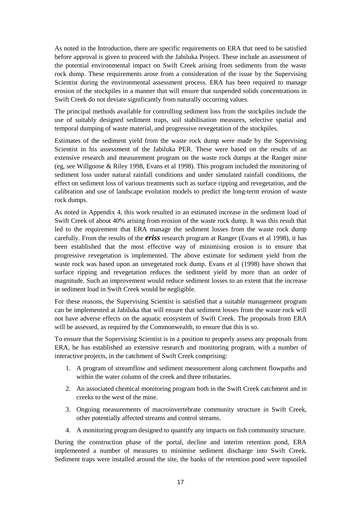As noted in the Introduction, there are specific requirements on ERA that need to be satisfied before approval is given to proceed with the Jabiluka Project. These include an assessment of the potential environmental impact on Swift Creek arising from sediments from the waste rock dump. These requirements arose from a consideration of the issue by the Supervising Scientist during the environmental assessment process. ERA has been required to manage erosion of the stockpiles in a manner that will ensure that suspended solids concentrations in Swift Creek do not deviate significantly from naturally occurring values.

The principal methods available for controlling sediment loss from the stockpiles include the use of suitably designed sediment traps, soil stabilisation measures, selective spatial and temporal dumping of waste material, and progressive revegetation of the stockpiles.

Estimates of the sediment yield from the waste rock dump were made by the Supervising Scientist in his assessment of the Jabiluka PER. These were based on the results of an extensive research and measurement program on the waste rock dumps at the Ranger mine (eg, see Willgoose & Riley 1998, Evans et al 1998). This program included the monitoring of sediment loss under natural rainfall conditions and under simulated rainfall conditions, the effect on sediment loss of various treatments such as surface ripping and revegetation, and the calibration and use of landscape evolution models to predict the long-term erosion of waste rock dumps.

As noted in Appendix 4, this work resulted in an estimated increase in the sediment load of Swift Creek of about 40% arising from erosion of the waste rock dump. It was this result that led to the requirement that ERA manage the sediment losses from the waste rock dump carefully. From the results of the *eriss* research program at Ranger (Evans et al 1998), it has been established that the most effective way of minimising erosion is to ensure that progressive revegetation is implemented. The above estimate for sediment yield from the waste rock was based upon an unvegetated rock dump. Evans et al (1998) have shown that surface ripping and revegetation reduces the sediment yield by more than an order of magnitude. Such an improvement would reduce sediment losses to an extent that the increase in sediment load in Swift Creek would be negligible.

For these reasons, the Supervising Scientist is satisfied that a suitable management program can be implemented at Jabiluka that will ensure that sediment losses from the waste rock will not have adverse effects on the aquatic ecosystem of Swift Creek. The proposals from ERA will be assessed, as required by the Commonwealth, to ensure that this is so.

To ensure that the Supervising Scientist is in a position to properly assess any proposals from ERA, he has established an extensive research and monitoring program, with a number of interactive projects, in the catchment of Swift Creek comprising:

- 1. A program of streamflow and sediment measurement along catchment flowpaths and within the water column of the creek and three tributaries.
- 2. An associated chemical monitoring program both in the Swift Creek catchment and in creeks to the west of the mine.
- 3. Ongoing measurements of macroinvertebrate community structure in Swift Creek, other potentially affected streams and control streams.
- 4. A monitoring program designed to quantify any impacts on fish community structure.

During the construction phase of the portal, decline and interim retention pond, ERA implemented a number of measures to minimise sediment discharge into Swift Creek. Sediment traps were installed around the site, the banks of the retention pond were topsoiled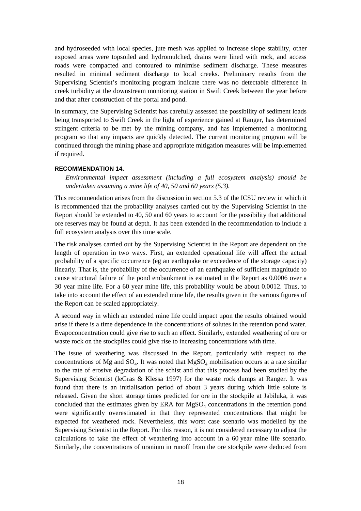and hydroseeded with local species, jute mesh was applied to increase slope stability, other exposed areas were topsoiled and hydromulched, drains were lined with rock, and access roads were compacted and contoured to minimise sediment discharge. These measures resulted in minimal sediment discharge to local creeks. Preliminary results from the Supervising Scientist's monitoring program indicate there was no detectable difference in creek turbidity at the downstream monitoring station in Swift Creek between the year before and that after construction of the portal and pond.

In summary, the Supervising Scientist has carefully assessed the possibility of sediment loads being transported to Swift Creek in the light of experience gained at Ranger, has determined stringent criteria to be met by the mining company, and has implemented a monitoring program so that any impacts are quickly detected. The current monitoring program will be continued through the mining phase and appropriate mitigation measures will be implemented if required.

#### **RECOMMENDATION 14.**

*Environmental impact assessment (including a full ecosystem analysis) should be undertaken assuming a mine life of 40, 50 and 60 years (5.3).*

This recommendation arises from the discussion in section 5.3 of the ICSU review in which it is recommended that the probability analyses carried out by the Supervising Scientist in the Report should be extended to 40, 50 and 60 years to account for the possibility that additional ore reserves may be found at depth. It has been extended in the recommendation to include a full ecosystem analysis over this time scale.

The risk analyses carried out by the Supervising Scientist in the Report are dependent on the length of operation in two ways. First, an extended operational life will affect the actual probability of a specific occurrence (eg an earthquake or exceedence of the storage capacity) linearly. That is, the probability of the occurrence of an earthquake of sufficient magnitude to cause structural failure of the pond embankment is estimated in the Report as 0.0006 over a 30 year mine life. For a 60 year mine life, this probability would be about 0.0012. Thus, to take into account the effect of an extended mine life, the results given in the various figures of the Report can be scaled appropriately.

A second way in which an extended mine life could impact upon the results obtained would arise if there is a time dependence in the concentrations of solutes in the retention pond water. Evapoconcentration could give rise to such an effect. Similarly, extended weathering of ore or waste rock on the stockpiles could give rise to increasing concentrations with time.

The issue of weathering was discussed in the Report, particularly with respect to the concentrations of Mg and  $SO_4$ . It was noted that  $MgSO_4$  mobilisation occurs at a rate similar to the rate of erosive degradation of the schist and that this process had been studied by the Supervising Scientist (leGras & Klessa 1997) for the waste rock dumps at Ranger. It was found that there is an initialisation period of about 3 years during which little solute is released. Given the short storage times predicted for ore in the stockpile at Jabiluka, it was concluded that the estimates given by ERA for  $MgSO<sub>4</sub>$  concentrations in the retention pond were significantly overestimated in that they represented concentrations that might be expected for weathered rock. Nevertheless, this worst case scenario was modelled by the Supervising Scientist in the Report. For this reason, it is not considered necessary to adjust the calculations to take the effect of weathering into account in a 60 year mine life scenario. Similarly, the concentrations of uranium in runoff from the ore stockpile were deduced from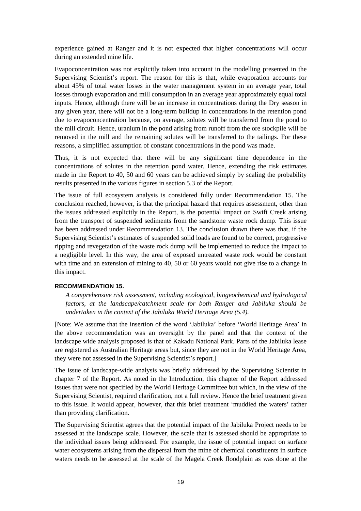experience gained at Ranger and it is not expected that higher concentrations will occur during an extended mine life.

Evapoconcentration was not explicitly taken into account in the modelling presented in the Supervising Scientist's report. The reason for this is that, while evaporation accounts for about 45% of total water losses in the water management system in an average year, total losses through evaporation and mill consumption in an average year approximately equal total inputs. Hence, although there will be an increase in concentrations during the Dry season in any given year, there will not be a long-term buildup in concentrations in the retention pond due to evapoconcentration because, on average, solutes will be transferred from the pond to the mill circuit. Hence, uranium in the pond arising from runoff from the ore stockpile will be removed in the mill and the remaining solutes will be transferred to the tailings. For these reasons, a simplified assumption of constant concentrations in the pond was made.

Thus, it is not expected that there will be any significant time dependence in the concentrations of solutes in the retention pond water. Hence, extending the risk estimates made in the Report to 40, 50 and 60 years can be achieved simply by scaling the probability results presented in the various figures in section 5.3 of the Report.

The issue of full ecosystem analysis is considered fully under Recommendation 15. The conclusion reached, however, is that the principal hazard that requires assessment, other than the issues addressed explicitly in the Report, is the potential impact on Swift Creek arising from the transport of suspended sediments from the sandstone waste rock dump. This issue has been addressed under Recommendation 13. The conclusion drawn there was that, if the Supervising Scientist's estimates of suspended solid loads are found to be correct, progressive ripping and revegetation of the waste rock dump will be implemented to reduce the impact to a negligible level. In this way, the area of exposed untreated waste rock would be constant with time and an extension of mining to 40, 50 or 60 years would not give rise to a change in this impact.

#### **RECOMMENDATION 15.**

*A comprehensive risk assessment, including ecological, biogeochemical and hydrological factors, at the landscape/catchment scale for both Ranger and Jabiluka should be undertaken in the context of the Jabiluka World Heritage Area (5.4).*

[Note: We assume that the insertion of the word 'Jabiluka' before 'World Heritage Area' in the above recommendation was an oversight by the panel and that the context of the landscape wide analysis proposed is that of Kakadu National Park. Parts of the Jabiluka lease are registered as Australian Heritage areas but, since they are not in the World Heritage Area, they were not assessed in the Supervising Scientist's report.]

The issue of landscape-wide analysis was briefly addressed by the Supervising Scientist in chapter 7 of the Report. As noted in the Introduction, this chapter of the Report addressed issues that were not specified by the World Heritage Committee but which, in the view of the Supervising Scientist, required clarification, not a full review. Hence the brief treatment given to this issue. It would appear, however, that this brief treatment 'muddied the waters' rather than providing clarification.

The Supervising Scientist agrees that the potential impact of the Jabiluka Project needs to be assessed at the landscape scale. However, the scale that is assessed should be appropriate to the individual issues being addressed. For example, the issue of potential impact on surface water ecosystems arising from the dispersal from the mine of chemical constituents in surface waters needs to be assessed at the scale of the Magela Creek floodplain as was done at the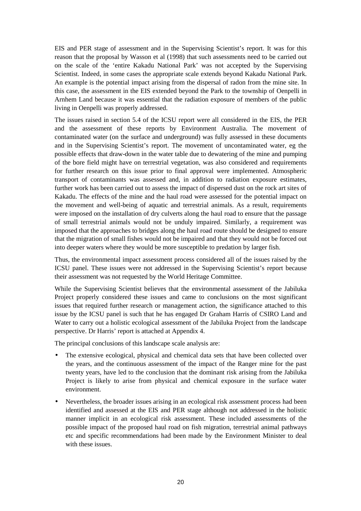EIS and PER stage of assessment and in the Supervising Scientist's report. It was for this reason that the proposal by Wasson et al (1998) that such assessments need to be carried out on the scale of the 'entire Kakadu National Park' was not accepted by the Supervising Scientist. Indeed, in some cases the appropriate scale extends beyond Kakadu National Park. An example is the potential impact arising from the dispersal of radon from the mine site. In this case, the assessment in the EIS extended beyond the Park to the township of Oenpelli in Arnhem Land because it was essential that the radiation exposure of members of the public living in Oenpelli was properly addressed.

The issues raised in section 5.4 of the ICSU report were all considered in the EIS, the PER and the assessment of these reports by Environment Australia. The movement of contaminated water (on the surface and underground) was fully assessed in these documents and in the Supervising Scientist's report. The movement of uncontaminated water, eg the possible effects that draw-down in the water table due to dewatering of the mine and pumping of the bore field might have on terrestrial vegetation, was also considered and requirements for further research on this issue prior to final approval were implemented. Atmospheric transport of contaminants was assessed and, in addition to radiation exposure estimates, further work has been carried out to assess the impact of dispersed dust on the rock art sites of Kakadu. The effects of the mine and the haul road were assessed for the potential impact on the movement and well-being of aquatic and terrestrial animals. As a result, requirements were imposed on the installation of dry culverts along the haul road to ensure that the passage of small terrestrial animals would not be unduly impaired. Similarly, a requirement was imposed that the approaches to bridges along the haul road route should be designed to ensure that the migration of small fishes would not be impaired and that they would not be forced out into deeper waters where they would be more susceptible to predation by larger fish.

Thus, the environmental impact assessment process considered all of the issues raised by the ICSU panel. These issues were not addressed in the Supervising Scientist's report because their assessment was not requested by the World Heritage Committee.

While the Supervising Scientist believes that the environmental assessment of the Jabiluka Project properly considered these issues and came to conclusions on the most significant issues that required further research or management action, the significance attached to this issue by the ICSU panel is such that he has engaged Dr Graham Harris of CSIRO Land and Water to carry out a holistic ecological assessment of the Jabiluka Project from the landscape perspective. Dr Harris' report is attached at Appendix 4.

The principal conclusions of this landscape scale analysis are:

- The extensive ecological, physical and chemical data sets that have been collected over the years, and the continuous assessment of the impact of the Ranger mine for the past twenty years, have led to the conclusion that the dominant risk arising from the Jabiluka Project is likely to arise from physical and chemical exposure in the surface water environment.
- Nevertheless, the broader issues arising in an ecological risk assessment process had been identified and assessed at the EIS and PER stage although not addressed in the holistic manner implicit in an ecological risk assessment. These included assessments of the possible impact of the proposed haul road on fish migration, terrestrial animal pathways etc and specific recommendations had been made by the Environment Minister to deal with these issues.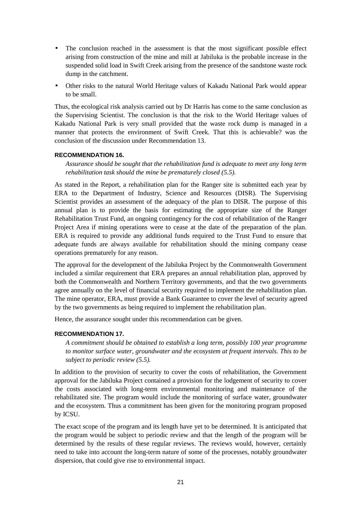- The conclusion reached in the assessment is that the most significant possible effect arising from construction of the mine and mill at Jabiluka is the probable increase in the suspended solid load in Swift Creek arising from the presence of the sandstone waste rock dump in the catchment.
- Other risks to the natural World Heritage values of Kakadu National Park would appear to be small.

Thus, the ecological risk analysis carried out by Dr Harris has come to the same conclusion as the Supervising Scientist. The conclusion is that the risk to the World Heritage values of Kakadu National Park is very small provided that the waste rock dump is managed in a manner that protects the environment of Swift Creek. That this is achievable? was the conclusion of the discussion under Recommendation 13.

#### **RECOMMENDATION 16.**

*Assurance should be sought that the rehabilitation fund is adequate to meet any long term rehabilitation task should the mine be prematurely closed (5.5).*

As stated in the Report, a rehabilitation plan for the Ranger site is submitted each year by ERA to the Department of Industry, Science and Resources (DISR). The Supervising Scientist provides an assessment of the adequacy of the plan to DISR. The purpose of this annual plan is to provide the basis for estimating the appropriate size of the Ranger Rehabilitation Trust Fund, an ongoing contingency for the cost of rehabilitation of the Ranger Project Area if mining operations were to cease at the date of the preparation of the plan. ERA is required to provide any additional funds required to the Trust Fund to ensure that adequate funds are always available for rehabilitation should the mining company cease operations prematurely for any reason.

The approval for the development of the Jabiluka Project by the Commonwealth Government included a similar requirement that ERA prepares an annual rehabilitation plan, approved by both the Commonwealth and Northern Territory governments, and that the two governments agree annually on the level of financial security required to implement the rehabilitation plan. The mine operator, ERA, must provide a Bank Guarantee to cover the level of security agreed by the two governments as being required to implement the rehabilitation plan.

Hence, the assurance sought under this recommendation can be given.

### **RECOMMENDATION 17.**

*A commitment should be obtained to establish a long term, possibly 100 year programme to monitor surface water, groundwater and the ecosystem at frequent intervals. This to be subject to periodic review (5.5).*

In addition to the provision of security to cover the costs of rehabilitation, the Government approval for the Jabiluka Project contained a provision for the lodgement of security to cover the costs associated with long-term environmental monitoring and maintenance of the rehabilitated site. The program would include the monitoring of surface water, groundwater and the ecosystem. Thus a commitment has been given for the monitoring program proposed by ICSU.

The exact scope of the program and its length have yet to be determined. It is anticipated that the program would be subject to periodic review and that the length of the program will be determined by the results of these regular reviews. The reviews would, however, certainly need to take into account the long-term nature of some of the processes, notably groundwater dispersion, that could give rise to environmental impact.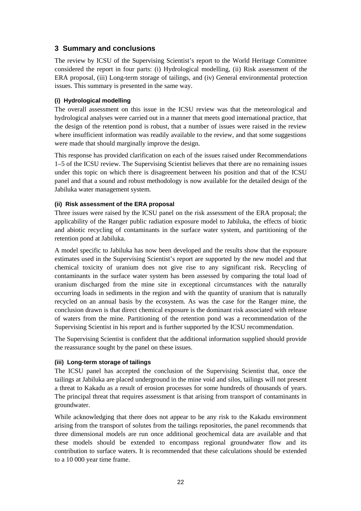### **3 Summary and conclusions**

The review by ICSU of the Supervising Scientist's report to the World Heritage Committee considered the report in four parts: (i) Hydrological modelling, (ii) Risk assessment of the ERA proposal, (iii) Long-term storage of tailings, and (iv) General environmental protection issues. This summary is presented in the same way.

### **(i) Hydrological modelling**

The overall assessment on this issue in the ICSU review was that the meteorological and hydrological analyses were carried out in a manner that meets good international practice, that the design of the retention pond is robust, that a number of issues were raised in the review where insufficient information was readily available to the review, and that some suggestions were made that should marginally improve the design.

This response has provided clarification on each of the issues raised under Recommendations 1–5 of the ICSU review. The Supervising Scientist believes that there are no remaining issues under this topic on which there is disagreement between his position and that of the ICSU panel and that a sound and robust methodology is now available for the detailed design of the Jabiluka water management system.

### **(ii) Risk assessment of the ERA proposal**

Three issues were raised by the ICSU panel on the risk assessment of the ERA proposal; the applicability of the Ranger public radiation exposure model to Jabiluka, the effects of biotic and abiotic recycling of contaminants in the surface water system, and partitioning of the retention pond at Jabiluka.

A model specific to Jabiluka has now been developed and the results show that the exposure estimates used in the Supervising Scientist's report are supported by the new model and that chemical toxicity of uranium does not give rise to any significant risk. Recycling of contaminants in the surface water system has been assessed by comparing the total load of uranium discharged from the mine site in exceptional circumstances with the naturally occurring loads in sediments in the region and with the quantity of uranium that is naturally recycled on an annual basis by the ecosystem. As was the case for the Ranger mine, the conclusion drawn is that direct chemical exposure is the dominant risk associated with release of waters from the mine. Partitioning of the retention pond was a recommendation of the Supervising Scientist in his report and is further supported by the ICSU recommendation.

The Supervising Scientist is confident that the additional information supplied should provide the reassurance sought by the panel on these issues.

### **(iii) Long-term storage of tailings**

The ICSU panel has accepted the conclusion of the Supervising Scientist that, once the tailings at Jabiluka are placed underground in the mine void and silos, tailings will not present a threat to Kakadu as a result of erosion processes for some hundreds of thousands of years. The principal threat that requires assessment is that arising from transport of contaminants in groundwater.

While acknowledging that there does not appear to be any risk to the Kakadu environment arising from the transport of solutes from the tailings repositories, the panel recommends that three dimensional models are run once additional geochemical data are available and that these models should be extended to encompass regional groundwater flow and its contribution to surface waters. It is recommended that these calculations should be extended to a 10 000 year time frame.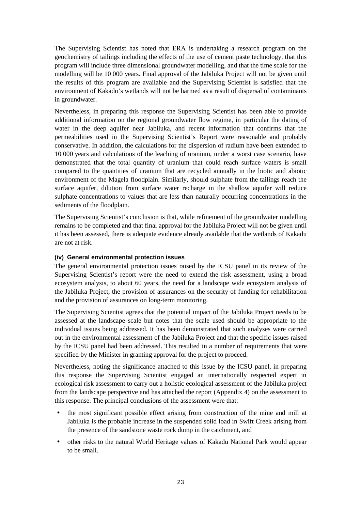The Supervising Scientist has noted that ERA is undertaking a research program on the geochemistry of tailings including the effects of the use of cement paste technology, that this program will include three dimensional groundwater modelling, and that the time scale for the modelling will be 10 000 years. Final approval of the Jabiluka Project will not be given until the results of this program are available and the Supervising Scientist is satisfied that the environment of Kakadu's wetlands will not be harmed as a result of dispersal of contaminants in groundwater.

Nevertheless, in preparing this response the Supervising Scientist has been able to provide additional information on the regional groundwater flow regime, in particular the dating of water in the deep aquifer near Jabiluka, and recent information that confirms that the permeabilities used in the Supervising Scientist's Report were reasonable and probably conservative. In addition, the calculations for the dispersion of radium have been extended to 10 000 years and calculations of the leaching of uranium, under a worst case scenario, have demonstrated that the total quantity of uranium that could reach surface waters is small compared to the quantities of uranium that are recycled annually in the biotic and abiotic environment of the Magela floodplain. Similarly, should sulphate from the tailings reach the surface aquifer, dilution from surface water recharge in the shallow aquifer will reduce sulphate concentrations to values that are less than naturally occurring concentrations in the sediments of the floodplain.

The Supervising Scientist's conclusion is that, while refinement of the groundwater modelling remains to be completed and that final approval for the Jabiluka Project will not be given until it has been assessed, there is adequate evidence already available that the wetlands of Kakadu are not at risk.

### **(iv) General environmental protection issues**

The general environmental protection issues raised by the ICSU panel in its review of the Supervising Scientist's report were the need to extend the risk assessment, using a broad ecosystem analysis, to about 60 years, the need for a landscape wide ecosystem analysis of the Jabiluka Project, the provision of assurances on the security of funding for rehabilitation and the provision of assurances on long-term monitoring.

The Supervising Scientist agrees that the potential impact of the Jabiluka Project needs to be assessed at the landscape scale but notes that the scale used should be appropriate to the individual issues being addressed. It has been demonstrated that such analyses were carried out in the environmental assessment of the Jabiluka Project and that the specific issues raised by the ICSU panel had been addressed. This resulted in a number of requirements that were specified by the Minister in granting approval for the project to proceed.

Nevertheless, noting the significance attached to this issue by the ICSU panel, in preparing this response the Supervising Scientist engaged an internationally respected expert in ecological risk assessment to carry out a holistic ecological assessment of the Jabiluka project from the landscape perspective and has attached the report (Appendix 4) on the assessment to this response. The principal conclusions of the assessment were that:

- the most significant possible effect arising from construction of the mine and mill at Jabiluka is the probable increase in the suspended solid load in Swift Creek arising from the presence of the sandstone waste rock dump in the catchment, and
- other risks to the natural World Heritage values of Kakadu National Park would appear to be small.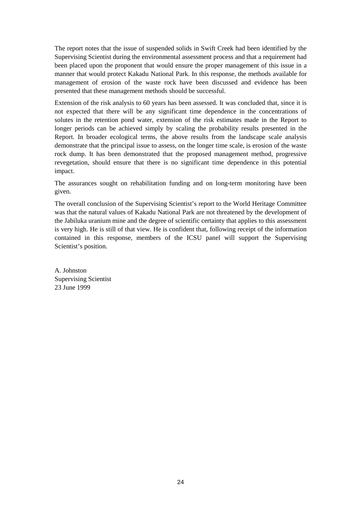The report notes that the issue of suspended solids in Swift Creek had been identified by the Supervising Scientist during the environmental assessment process and that a requirement had been placed upon the proponent that would ensure the proper management of this issue in a manner that would protect Kakadu National Park. In this response, the methods available for management of erosion of the waste rock have been discussed and evidence has been presented that these management methods should be successful.

Extension of the risk analysis to 60 years has been assessed. It was concluded that, since it is not expected that there will be any significant time dependence in the concentrations of solutes in the retention pond water, extension of the risk estimates made in the Report to longer periods can be achieved simply by scaling the probability results presented in the Report. In broader ecological terms, the above results from the landscape scale analysis demonstrate that the principal issue to assess, on the longer time scale, is erosion of the waste rock dump. It has been demonstrated that the proposed management method, progressive revegetation, should ensure that there is no significant time dependence in this potential impact.

The assurances sought on rehabilitation funding and on long-term monitoring have been given.

The overall conclusion of the Supervising Scientist's report to the World Heritage Committee was that the natural values of Kakadu National Park are not threatened by the development of the Jabiluka uranium mine and the degree of scientific certainty that applies to this assessment is very high. He is still of that view. He is confident that, following receipt of the information contained in this response, members of the ICSU panel will support the Supervising Scientist's position.

A. Johnston Supervising Scientist 23 June 1999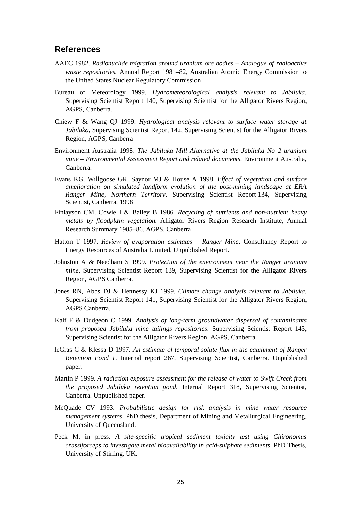### **References**

- AAEC 1982. *Radionuclide migration around uranium ore bodies Analogue of radioactive waste repositories.* Annual Report 1981*–*82, Australian Atomic Energy Commission to the United States Nuclear Regulatory Commission
- Bureau of Meteorology 1999. *Hydrometeorological analysis relevant to Jabiluka*. Supervising Scientist Report 140, Supervising Scientist for the Alligator Rivers Region, AGPS, Canberra.
- Chiew F & Wang QJ 1999. *Hydrological analysis relevant to surface water storage at Jabiluka*, Supervising Scientist Report 142, Supervising Scientist for the Alligator Rivers Region, AGPS, Canberra
- Environment Australia 1998. *The Jabiluka Mill Alternative at the Jabiluka No 2 uranium mine – Environmental Assessment Report and related documents.* Environment Australia, Canberra.
- Evans KG, Willgoose GR, Saynor MJ & House A 1998. *Effect of vegetation and surface amelioration on simulated landform evolution of the post-mining landscape at ERA Ranger Mine, Northern Territory*. Supervising Scientist Report 134, Supervising Scientist, Canberra. 1998
- Finlayson CM, Cowie I & Bailey B 1986. *Recycling of nutrients and non-nutrient heavy metals by floodplain vegetation.* Alligator Rivers Region Research Institute, Annual Research Summary 1985*–*86. AGPS, Canberra
- Hatton T 1997. *Review of evaporation estimates Ranger Mine*, Consultancy Report to Energy Resources of Australia Limited, Unpublished Report.
- Johnston A & Needham S 1999. *Protection of the environment near the Ranger uranium mine,* Supervising Scientist Report 139, Supervising Scientist for the Alligator Rivers Region, AGPS Canberra.
- Jones RN, Abbs DJ & Hennessy KJ 1999. *Climate change analysis relevant to Jabiluka*. Supervising Scientist Report 141, Supervising Scientist for the Alligator Rivers Region, AGPS Canberra.
- Kalf F & Dudgeon C 1999. *Analysis of long-term groundwater dispersal of contaminants from proposed Jabiluka mine tailings repositories*. Supervising Scientist Report 143, Supervising Scientist for the Alligator Rivers Region, AGPS, Canberra.
- leGras C & Klessa D 1997. *An estimate of temporal solute flux in the catchment of Ranger Retention Pond 1*. Internal report 267, Supervising Scientist, Canberra. Unpublished paper.
- Martin P 1999. *A radiation exposure assessment for the release of water to Swift Creek from the proposed Jabiluka retention pond.* Internal Report 318, Supervising Scientist, Canberra. Unpublished paper.
- McQuade CV 1993. *Probabilistic design for risk analysis in mine water resource management systems.* PhD thesis, Department of Mining and Metallurgical Engineering, University of Queensland.
- Peck M, in press. *A site-specific tropical sediment toxicity test using Chironomus crassiforceps to investigate metal bioavailability in acid-sulphate sediments*. PhD Thesis, University of Stirling, UK.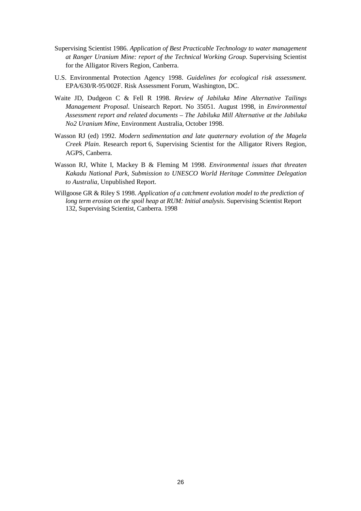- Supervising Scientist 1986. *Application of Best Practicable Technology to water management at Ranger Uranium Mine: report of the Technical Working Group.* Supervising Scientist for the Alligator Rivers Region, Canberra.
- U.S. Environmental Protection Agency 1998. *Guidelines for ecological risk assessment.* EPA/630/R-95/002F. Risk Assessment Forum, Washington, DC.
- Waite JD, Dudgeon C & Fell R 1998. *Review of Jabiluka Mine Alternative Tailings Management Proposal*. Unisearch Report. No 35051. August 1998, in *Environmental Assessment report and related documents – The Jabiluka Mill Alternative at the Jabiluka No2 Uranium Mine*, Environment Australia, October 1998.
- Wasson RJ (ed) 1992. *Modern sedimentation and late quaternary evolution of the Magela Creek Plain*. Research report 6, Supervising Scientist for the Alligator Rivers Region, AGPS, Canberra.
- Wasson RJ, White I, Mackey B & Fleming M 1998. *Environmental issues that threaten Kakadu National Park, Submission to UNESCO World Heritage Committee Delegation to Australia*, Unpublished Report.
- Willgoose GR & Riley S 1998. *Application of a catchment evolution model to the prediction of long term erosion on the spoil heap at RUM: Initial analysis.* Supervising Scientist Report 132, Supervising Scientist, Canberra. 1998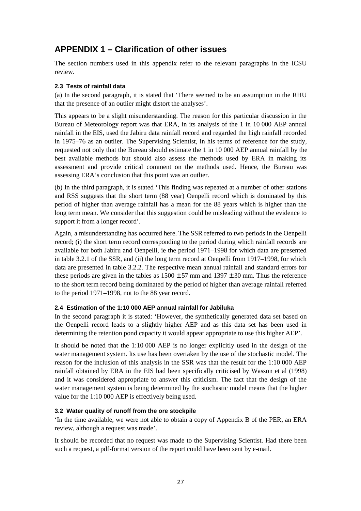# **APPENDIX 1 – Clarification of other issues**

The section numbers used in this appendix refer to the relevant paragraphs in the ICSU review.

### **2.3 Tests of rainfall data**

(a) In the second paragraph, it is stated that 'There seemed to be an assumption in the RHU that the presence of an outlier might distort the analyses'.

This appears to be a slight misunderstanding. The reason for this particular discussion in the Bureau of Meteorology report was that ERA, in its analysis of the 1 in 10 000 AEP annual rainfall in the EIS, used the Jabiru data rainfall record and regarded the high rainfall recorded in 1975*–*76 as an outlier. The Supervising Scientist, in his terms of reference for the study, requested not only that the Bureau should estimate the 1 in 10 000 AEP annual rainfall by the best available methods but should also assess the methods used by ERA in making its assessment and provide critical comment on the methods used. Hence, the Bureau was assessing ERA's conclusion that this point was an outlier.

(b) In the third paragraph, it is stated 'This finding was repeated at a number of other stations and RSS suggests that the short term (88 year) Oenpelli record which is dominated by this period of higher than average rainfall has a mean for the 88 years which is higher than the long term mean. We consider that this suggestion could be misleading without the evidence to support it from a longer record'.

Again, a misunderstanding has occurred here. The SSR referred to two periods in the Oenpelli record; (i) the short term record corresponding to the period during which rainfall records are available for both Jabiru and Oenpelli, ie the period 1971–1998 for which data are presented in table 3.2.1 of the SSR, and (ii) the long term record at Oenpelli from 1917–1998, for which data are presented in table 3.2.2. The respective mean annual rainfall and standard errors for these periods are given in the tables as  $1500 \pm 57$  mm and  $1397 \pm 30$  mm. Thus the reference to the short term record being dominated by the period of higher than average rainfall referred to the period 1971–1998, not to the 88 year record.

### **2.4 Estimation of the 1:10 000 AEP annual rainfall for Jabiluka**

In the second paragraph it is stated: 'However, the synthetically generated data set based on the Oenpelli record leads to a slightly higher AEP and as this data set has been used in determining the retention pond capacity it would appear appropriate to use this higher AEP'.

It should be noted that the 1:10 000 AEP is no longer explicitly used in the design of the water management system. Its use has been overtaken by the use of the stochastic model. The reason for the inclusion of this analysis in the SSR was that the result for the 1:10 000 AEP rainfall obtained by ERA in the EIS had been specifically criticised by Wasson et al (1998) and it was considered appropriate to answer this criticism. The fact that the design of the water management system is being determined by the stochastic model means that the higher value for the 1:10 000 AEP is effectively being used.

### **3.2 Water quality of runoff from the ore stockpile**

'In the time available, we were not able to obtain a copy of Appendix B of the PER, an ERA review, although a request was made'.

It should be recorded that no request was made to the Supervising Scientist. Had there been such a request, a pdf-format version of the report could have been sent by e-mail.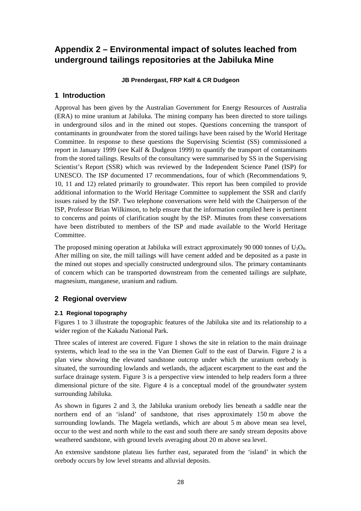# **Appendix 2 – Environmental impact of solutes leached from underground tailings repositories at the Jabiluka Mine**

### **JB Prendergast, FRP Kalf & CR Dudgeon**

### **1 Introduction**

Approval has been given by the Australian Government for Energy Resources of Australia (ERA) to mine uranium at Jabiluka. The mining company has been directed to store tailings in underground silos and in the mined out stopes. Questions concerning the transport of contaminants in groundwater from the stored tailings have been raised by the World Heritage Committee. In response to these questions the Supervising Scientist (SS) commissioned a report in January 1999 (see Kalf & Dudgeon 1999) to quantify the transport of contaminants from the stored tailings. Results of the consultancy were summarised by SS in the Supervising Scientist's Report (SSR) which was reviewed by the Independent Science Panel (ISP) for UNESCO. The ISP documented 17 recommendations, four of which (Recommendations 9, 10, 11 and 12) related primarily to groundwater. This report has been compiled to provide additional information to the World Heritage Committee to supplement the SSR and clarify issues raised by the ISP. Two telephone conversations were held with the Chairperson of the ISP, Professor Brian Wilkinson, to help ensure that the information compiled here is pertinent to concerns and points of clarification sought by the ISP. Minutes from these conversations have been distributed to members of the ISP and made available to the World Heritage Committee.

The proposed mining operation at Jabiluka will extract approximately 90 000 tonnes of  $U_3O_8$ . After milling on site, the mill tailings will have cement added and be deposited as a paste in the mined out stopes and specially constructed underground silos. The primary contaminants of concern which can be transported downstream from the cemented tailings are sulphate, magnesium, manganese, uranium and radium.

### **2 Regional overview**

### **2.1 Regional topography**

Figures 1 to 3 illustrate the topographic features of the Jabiluka site and its relationship to a wider region of the Kakadu National Park.

Three scales of interest are covered. Figure 1 shows the site in relation to the main drainage systems, which lead to the sea in the Van Diemen Gulf to the east of Darwin. Figure 2 is a plan view showing the elevated sandstone outcrop under which the uranium orebody is situated, the surrounding lowlands and wetlands, the adjacent escarpment to the east and the surface drainage system. Figure 3 is a perspective view intended to help readers form a three dimensional picture of the site. Figure 4 is a conceptual model of the groundwater system surrounding Jabiluka.

As shown in figures 2 and 3, the Jabiluka uranium orebody lies beneath a saddle near the northern end of an 'island' of sandstone, that rises approximately 150 m above the surrounding lowlands. The Magela wetlands, which are about 5 m above mean sea level, occur to the west and north while to the east and south there are sandy stream deposits above weathered sandstone, with ground levels averaging about 20 m above sea level.

An extensive sandstone plateau lies further east, separated from the 'island' in which the orebody occurs by low level streams and alluvial deposits.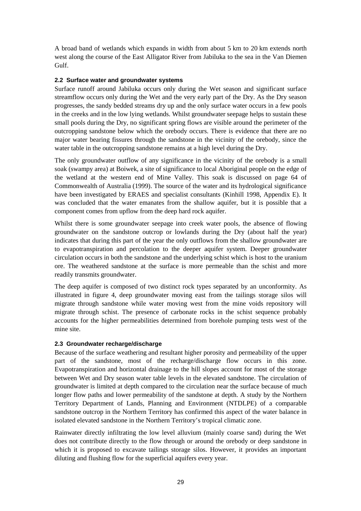A broad band of wetlands which expands in width from about 5 km to 20 km extends north west along the course of the East Alligator River from Jabiluka to the sea in the Van Diemen Gulf.

### **2.2 Surface water and groundwater systems**

Surface runoff around Jabiluka occurs only during the Wet season and significant surface streamflow occurs only during the Wet and the very early part of the Dry. As the Dry season progresses, the sandy bedded streams dry up and the only surface water occurs in a few pools in the creeks and in the low lying wetlands. Whilst groundwater seepage helps to sustain these small pools during the Dry, no significant spring flows are visible around the perimeter of the outcropping sandstone below which the orebody occurs. There is evidence that there are no major water bearing fissures through the sandstone in the vicinity of the orebody, since the water table in the outcropping sandstone remains at a high level during the Dry.

The only groundwater outflow of any significance in the vicinity of the orebody is a small soak (swampy area) at Boiwek, a site of significance to local Aboriginal people on the edge of the wetland at the western end of Mine Valley. This soak is discussed on page 64 of Commonwealth of Australia (1999). The source of the water and its hydrological significance have been investigated by ERAES and specialist consultants (Kinhill 1998, Appendix E). It was concluded that the water emanates from the shallow aquifer, but it is possible that a component comes from upflow from the deep hard rock aquifer.

Whilst there is some groundwater seepage into creek water pools, the absence of flowing groundwater on the sandstone outcrop or lowlands during the Dry (about half the year) indicates that during this part of the year the only outflows from the shallow groundwater are to evapotranspiration and percolation to the deeper aquifer system. Deeper groundwater circulation occurs in both the sandstone and the underlying schist which is host to the uranium ore. The weathered sandstone at the surface is more permeable than the schist and more readily transmits groundwater.

The deep aquifer is composed of two distinct rock types separated by an unconformity. As illustrated in figure 4, deep groundwater moving east from the tailings storage silos will migrate through sandstone while water moving west from the mine voids repository will migrate through schist. The presence of carbonate rocks in the schist sequence probably accounts for the higher permeabilities determined from borehole pumping tests west of the mine site.

### **2.3 Groundwater recharge/discharge**

Because of the surface weathering and resultant higher porosity and permeability of the upper part of the sandstone, most of the recharge/discharge flow occurs in this zone. Evapotranspiration and horizontal drainage to the hill slopes account for most of the storage between Wet and Dry season water table levels in the elevated sandstone. The circulation of groundwater is limited at depth compared to the circulation near the surface because of much longer flow paths and lower permeability of the sandstone at depth. A study by the Northern Territory Department of Lands, Planning and Environment (NTDLPE) of a comparable sandstone outcrop in the Northern Territory has confirmed this aspect of the water balance in isolated elevated sandstone in the Northern Territory's tropical climatic zone.

Rainwater directly infiltrating the low level alluvium (mainly coarse sand) during the Wet does not contribute directly to the flow through or around the orebody or deep sandstone in which it is proposed to excavate tailings storage silos. However, it provides an important diluting and flushing flow for the superficial aquifers every year.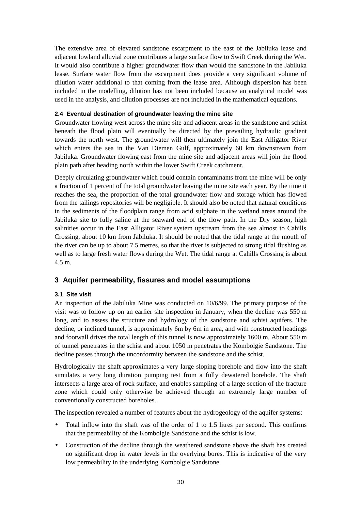The extensive area of elevated sandstone escarpment to the east of the Jabiluka lease and adjacent lowland alluvial zone contributes a large surface flow to Swift Creek during the Wet. It would also contribute a higher groundwater flow than would the sandstone in the Jabiluka lease. Surface water flow from the escarpment does provide a very significant volume of dilution water additional to that coming from the lease area. Although dispersion has been included in the modelling, dilution has not been included because an analytical model was used in the analysis, and dilution processes are not included in the mathematical equations.

### **2.4 Eventual destination of groundwater leaving the mine site**

Groundwater flowing west across the mine site and adjacent areas in the sandstone and schist beneath the flood plain will eventually be directed by the prevailing hydraulic gradient towards the north west. The groundwater will then ultimately join the East Alligator River which enters the sea in the Van Diemen Gulf, approximately 60 km downstream from Jabiluka. Groundwater flowing east from the mine site and adjacent areas will join the flood plain path after heading north within the lower Swift Creek catchment.

Deeply circulating groundwater which could contain contaminants from the mine will be only a fraction of 1 percent of the total groundwater leaving the mine site each year. By the time it reaches the sea, the proportion of the total groundwater flow and storage which has flowed from the tailings repositories will be negligible. It should also be noted that natural conditions in the sediments of the floodplain range from acid sulphate in the wetland areas around the Jabiluka site to fully saline at the seaward end of the flow path. In the Dry season, high salinities occur in the East Alligator River system upstream from the sea almost to Cahills Crossing, about 10 km from Jabiluka. It should be noted that the tidal range at the mouth of the river can be up to about 7.5 metres, so that the river is subjected to strong tidal flushing as well as to large fresh water flows during the Wet. The tidal range at Cahills Crossing is about 4.5 m.

### **3 Aquifer permeability, fissures and model assumptions**

### **3.1 Site visit**

An inspection of the Jabiluka Mine was conducted on 10/6/99. The primary purpose of the visit was to follow up on an earlier site inspection in January, when the decline was 550 m long, and to assess the structure and hydrology of the sandstone and schist aquifers. The decline, or inclined tunnel, is approximately 6m by 6m in area, and with constructed headings and footwall drives the total length of this tunnel is now approximately 1600 m. About 550 m of tunnel penetrates in the schist and about 1050 m penetrates the Kombolgie Sandstone. The decline passes through the unconformity between the sandstone and the schist.

Hydrologically the shaft approximates a very large sloping borehole and flow into the shaft simulates a very long duration pumping test from a fully dewatered borehole. The shaft intersects a large area of rock surface, and enables sampling of a large section of the fracture zone which could only otherwise be achieved through an extremely large number of conventionally constructed boreholes.

The inspection revealed a number of features about the hydrogeology of the aquifer systems:

- Total inflow into the shaft was of the order of 1 to 1.5 litres per second. This confirms that the permeability of the Kombolgie Sandstone and the schist is low.
- Construction of the decline through the weathered sandstone above the shaft has created no significant drop in water levels in the overlying bores. This is indicative of the very low permeability in the underlying Kombolgie Sandstone.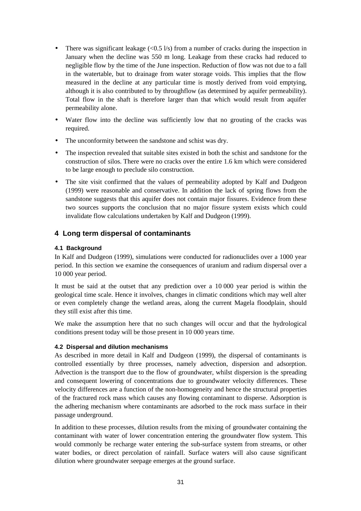- There was significant leakage  $\langle \langle 0.5 \, 1/s \rangle$  from a number of cracks during the inspection in January when the decline was 550 m long. Leakage from these cracks had reduced to negligible flow by the time of the June inspection. Reduction of flow was not due to a fall in the watertable, but to drainage from water storage voids. This implies that the flow measured in the decline at any particular time is mostly derived from void emptying, although it is also contributed to by throughflow (as determined by aquifer permeability). Total flow in the shaft is therefore larger than that which would result from aquifer permeability alone.
- Water flow into the decline was sufficiently low that no grouting of the cracks was required.
- The unconformity between the sandstone and schist was dry.
- The inspection revealed that suitable sites existed in both the schist and sandstone for the construction of silos. There were no cracks over the entire 1.6 km which were considered to be large enough to preclude silo construction.
- The site visit confirmed that the values of permeability adopted by Kalf and Dudgeon (1999) were reasonable and conservative. In addition the lack of spring flows from the sandstone suggests that this aquifer does not contain major fissures. Evidence from these two sources supports the conclusion that no major fissure system exists which could invalidate flow calculations undertaken by Kalf and Dudgeon (1999).

### **4 Long term dispersal of contaminants**

### **4.1 Background**

In Kalf and Dudgeon (1999), simulations were conducted for radionuclides over a 1000 year period. In this section we examine the consequences of uranium and radium dispersal over a 10 000 year period.

It must be said at the outset that any prediction over a 10 000 year period is within the geological time scale. Hence it involves, changes in climatic conditions which may well alter or even completely change the wetland areas, along the current Magela floodplain, should they still exist after this time.

We make the assumption here that no such changes will occur and that the hydrological conditions present today will be those present in 10 000 years time.

### **4.2 Dispersal and dilution mechanisms**

As described in more detail in Kalf and Dudgeon (1999), the dispersal of contaminants is controlled essentially by three processes, namely advection, dispersion and adsorption. Advection is the transport due to the flow of groundwater, whilst dispersion is the spreading and consequent lowering of concentrations due to groundwater velocity differences. These velocity differences are a function of the non-homogeneity and hence the structural properties of the fractured rock mass which causes any flowing contaminant to disperse. Adsorption is the adhering mechanism where contaminants are adsorbed to the rock mass surface in their passage underground.

In addition to these processes, dilution results from the mixing of groundwater containing the contaminant with water of lower concentration entering the groundwater flow system. This would commonly be recharge water entering the sub-surface system from streams, or other water bodies, or direct percolation of rainfall. Surface waters will also cause significant dilution where groundwater seepage emerges at the ground surface.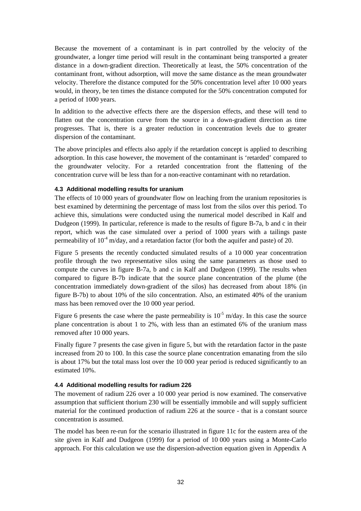Because the movement of a contaminant is in part controlled by the velocity of the groundwater, a longer time period will result in the contaminant being transported a greater distance in a down-gradient direction. Theoretically at least, the 50% concentration of the contaminant front, without adsorption, will move the same distance as the mean groundwater velocity. Therefore the distance computed for the 50% concentration level after 10 000 years would, in theory, be ten times the distance computed for the 50% concentration computed for a period of 1000 years.

In addition to the advective effects there are the dispersion effects, and these will tend to flatten out the concentration curve from the source in a down-gradient direction as time progresses. That is, there is a greater reduction in concentration levels due to greater dispersion of the contaminant.

The above principles and effects also apply if the retardation concept is applied to describing adsorption. In this case however, the movement of the contaminant is 'retarded' compared to the groundwater velocity. For a retarded concentration front the flattening of the concentration curve will be less than for a non-reactive contaminant with no retardation.

### **4.3 Additional modelling results for uranium**

The effects of 10 000 years of groundwater flow on leaching from the uranium repositories is best examined by determining the percentage of mass lost from the silos over this period. To achieve this, simulations were conducted using the numerical model described in Kalf and Dudgeon (1999). In particular, reference is made to the results of figure B-7a, b and c in their report, which was the case simulated over a period of 1000 years with a tailings paste permeability of  $10^4$  m/day, and a retardation factor (for both the aquifer and paste) of 20.

Figure 5 presents the recently conducted simulated results of a 10 000 year concentration profile through the two representative silos using the same parameters as those used to compute the curves in figure B-7a, b and c in Kalf and Dudgeon (1999). The results when compared to figure B-7b indicate that the source plane concentration of the plume (the concentration immediately down-gradient of the silos) has decreased from about 18% (in figure B-7b) to about 10% of the silo concentration. Also, an estimated 40% of the uranium mass has been removed over the 10 000 year period.

Figure 6 presents the case where the paste permeability is  $10^{-5}$  m/day. In this case the source plane concentration is about 1 to 2%, with less than an estimated 6% of the uranium mass removed after 10 000 years.

Finally figure 7 presents the case given in figure 5, but with the retardation factor in the paste increased from 20 to 100. In this case the source plane concentration emanating from the silo is about 17% but the total mass lost over the 10 000 year period is reduced significantly to an estimated 10%.

### **4.4 Additional modelling results for radium 226**

The movement of radium 226 over a 10 000 year period is now examined. The conservative assumption that sufficient thorium 230 will be essentially immobile and will supply sufficient material for the continued production of radium 226 at the source - that is a constant source concentration is assumed.

The model has been re-run for the scenario illustrated in figure 11c for the eastern area of the site given in Kalf and Dudgeon (1999) for a period of 10 000 years using a Monte-Carlo approach. For this calculation we use the dispersion-advection equation given in Appendix A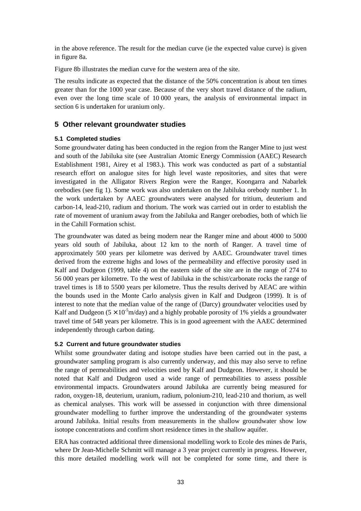in the above reference. The result for the median curve (ie the expected value curve) is given in figure 8a.

Figure 8b illustrates the median curve for the western area of the site.

The results indicate as expected that the distance of the 50% concentration is about ten times greater than for the 1000 year case. Because of the very short travel distance of the radium, even over the long time scale of 10 000 years, the analysis of environmental impact in section 6 is undertaken for uranium only.

### **5 Other relevant groundwater studies**

#### **5.1 Completed studies**

Some groundwater dating has been conducted in the region from the Ranger Mine to just west and south of the Jabiluka site (see Australian Atomic Energy Commission (AAEC) Research Establishment 1981, Airey et al 1983.). This work was conducted as part of a substantial research effort on analogue sites for high level waste repositories, and sites that were investigated in the Alligator Rivers Region were the Ranger, Koongarra and Nabarlek orebodies (see fig 1). Some work was also undertaken on the Jabiluka orebody number 1. In the work undertaken by AAEC groundwaters were analysed for tritium, deuterium and carbon-14, lead-210, radium and thorium. The work was carried out in order to establish the rate of movement of uranium away from the Jabiluka and Ranger orebodies, both of which lie in the Cahill Formation schist.

The groundwater was dated as being modern near the Ranger mine and about 4000 to 5000 years old south of Jabiluka, about 12 km to the north of Ranger. A travel time of approximately 500 years per kilometre was derived by AAEC. Groundwater travel times derived from the extreme highs and lows of the permeability and effective porosity used in Kalf and Dudgeon (1999, table 4) on the eastern side of the site are in the range of 274 to 56 000 years per kilometre. To the west of Jabiluka in the schist/carbonate rocks the range of travel times is 18 to 5500 years per kilometre. Thus the results derived by AEAC are within the bounds used in the Monte Carlo analysis given in Kalf and Dudgeon (1999). It is of interest to note that the median value of the range of (Darcy) groundwater velocities used by Kalf and Dudgeon  $(5 \times 10^{-5} \text{m/day})$  and a highly probable porosity of 1% yields a groundwater travel time of 548 years per kilometre. This is in good agreement with the AAEC determined independently through carbon dating.

### **5.2 Current and future groundwater studies**

Whilst some groundwater dating and isotope studies have been carried out in the past, a groundwater sampling program is also currently underway, and this may also serve to refine the range of permeabilities and velocities used by Kalf and Dudgeon. However, it should be noted that Kalf and Dudgeon used a wide range of permeabilities to assess possible environmental impacts. Groundwaters around Jabiluka are currently being measured for radon, oxygen-18, deuterium, uranium, radium, polonium-210, lead-210 and thorium, as well as chemical analyses. This work will be assessed in conjunction with three dimensional groundwater modelling to further improve the understanding of the groundwater systems around Jabiluka. Initial results from measurements in the shallow groundwater show low isotope concentrations and confirm short residence times in the shallow aquifer.

ERA has contracted additional three dimensional modelling work to Ecole des mines de Paris, where Dr Jean-Michelle Schmitt will manage a 3 year project currently in progress. However, this more detailed modelling work will not be completed for some time, and there is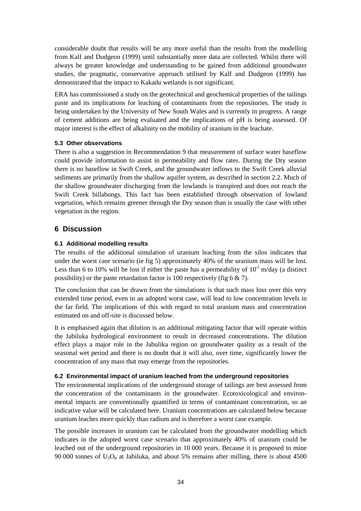considerable doubt that results will be any more useful than the results from the modelling from Kalf and Dudgeon (1999) until substantially more data are collected. Whilst there will always be greater knowledge and understanding to be gained from additional groundwater studies, the pragmatic, conservative approach utilised by Kalf and Dudgeon (1999) has demonstrated that the impact to Kakadu wetlands is not significant.

ERA has commissioned a study on the geotechnical and geochemical properties of the tailings paste and its implications for leaching of contaminants from the repositories. The study is being undertaken by the University of New South Wales and is currently in progress. A range of cement additions are being evaluated and the implications of pH is being assessed. Of major interest is the effect of alkalinity on the mobility of uranium in the leachate.

### **5.3 Other observations**

There is also a suggestion in Recommendation 9 that measurement of surface water baseflow could provide information to assist in permeability and flow rates. During the Dry season there is no baseflow in Swift Creek, and the groundwater inflows to the Swift Creek alluvial sediments are primarily from the shallow aquifer system, as described in section 2.2. Much of the shallow groundwater discharging from the lowlands is transpired and does not reach the Swift Creek billabongs. This fact has been established through observation of lowland vegetation, which remains greener through the Dry season than is usually the case with other vegetation in the region.

### **6 Discussion**

### **6.1 Additional modelling results**

The results of the additional simulation of uranium leaching from the silos indicates that under the worst case scenario (ie fig 5) approximately 40% of the uranium mass will be lost. Less than 6 to 10% will be lost if either the paste has a permeability of  $10^5$  m/day (a distinct possibility) or the paste retardation factor is 100 respectively (fig  $6 \& 7$ ).

The conclusion that can be drawn from the simulations is that such mass loss over this very extended time period, even in an adopted worst case, will lead to low concentration levels in the far field. The implications of this with regard to total uranium mass and concentration estimated on and off-site is discussed below.

It is emphasised again that dilution is an additional mitigating factor that will operate within the Jabiluka hydrological environment to result in decreased concentrations. The dilution effect plays a major role in the Jabulika region on groundwater quality as a result of the seasonal wet period and there is no doubt that it will also, over time, significantly lower the concentration of any mass that may emerge from the repositories.

### **6.2 Environmental impact of uranium leached from the underground repositories**

The environmental implications of the underground storage of tailings are best assessed from the concentration of the contaminants in the groundwater. Ecotoxicological and environmental impacts are conventionally quantified in terms of contaminant concentration, so an indicative value will be calculated here. Uranium concentrations are calculated below because uranium leaches more quickly than radium and is therefore a worst case example.

The possible increases in uranium can be calculated from the groundwater modelling which indicates in the adopted worst case scenario that approximately 40% of uranium could be leached out of the underground repositories in 10 000 years. Because it is proposed to mine 90 000 tonnes of  $U_3O_8$  at Jabiluka, and about 5% remains after milling, there is about 4500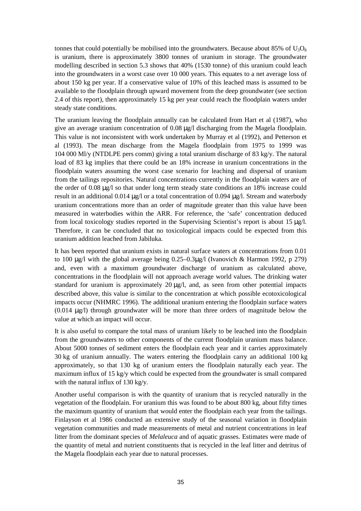tonnes that could potentially be mobilised into the groundwaters. Because about 85% of  $U_3O_8$ is uranium, there is approximately 3800 tonnes of uranium in storage. The groundwater modelling described in section 5.3 shows that 40% (1530 tonne) of this uranium could leach into the groundwaters in a worst case over 10 000 years. This equates to a net average loss of about 150 kg per year. If a conservative value of 10% of this leached mass is assumed to be available to the floodplain through upward movement from the deep groundwater (see section 2.4 of this report), then approximately 15 kg per year could reach the floodplain waters under steady state conditions.

The uranium leaving the floodplain annually can be calculated from Hart et al (1987), who give an average uranium concentration of 0.08 µg/l discharging from the Magela floodplain. This value is not inconsistent with work undertaken by Murray et al (1992), and Petterson et al (1993). The mean discharge from the Magela floodplain from 1975 to 1999 was 104 000 Ml/y (NTDLPE pers comm) giving a total uranium discharge of 83 kg/y. The natural load of 83 kg implies that there could be an 18% increase in uranium concentrations in the floodplain waters assuming the worst case scenario for leaching and dispersal of uranium from the tailings repositories. Natural concentrations currently in the floodplain waters are of the order of 0.08 µg/l so that under long term steady state conditions an 18% increase could result in an additional 0.014 µg/l or a total concentration of 0.094 µg/l. Stream and waterbody uranium concentrations more than an order of magnitude greater than this value have been measured in waterbodies within the ARR. For reference, the 'safe' concentration deduced from local toxicology studies reported in the Supervising Scientist's report is about 15 µg/l. Therefore, it can be concluded that no toxicological impacts could be expected from this uranium addition leached from Jabiluka.

It has been reported that uranium exists in natural surface waters at concentrations from 0.01 to 100 µg/l with the global average being 0.25–0.3µg/l (Ivanovich & Harmon 1992, p 279) and, even with a maximum groundwater discharge of uranium as calculated above, concentrations in the floodplain will not approach average world values. The drinking water standard for uranium is approximately  $20 \mu g/l$ , and, as seen from other potential impacts described above, this value is similar to the concentration at which possible ecotoxicological impacts occur (NHMRC 1996). The additional uranium entering the floodplain surface waters (0.014 µg/l) through groundwater will be more than three orders of magnitude below the value at which an impact will occur.

It is also useful to compare the total mass of uranium likely to be leached into the floodplain from the groundwaters to other components of the current floodplain uranium mass balance. About 5000 tonnes of sediment enters the floodplain each year and it carries approximately 30 kg of uranium annually. The waters entering the floodplain carry an additional 100 kg approximately, so that 130 kg of uranium enters the floodplain naturally each year. The maximum influx of 15 kg/y which could be expected from the groundwater is small compared with the natural influx of 130 kg/y.

Another useful comparison is with the quantity of uranium that is recycled naturally in the vegetation of the floodplain. For uranium this was found to be about 800 kg, about fifty times the maximum quantity of uranium that would enter the floodplain each year from the tailings. Finlayson et al 1986 conducted an extensive study of the seasonal variation in floodplain vegetation communities and made measurements of metal and nutrient concentrations in leaf litter from the dominant species of *Melaleuca* and of aquatic grasses. Estimates were made of the quantity of metal and nutrient constituents that is recycled in the leaf litter and detritus of the Magela floodplain each year due to natural processes.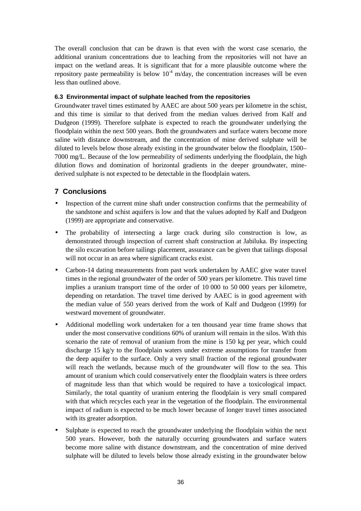The overall conclusion that can be drawn is that even with the worst case scenario, the additional uranium concentrations due to leaching from the repositories will not have an impact on the wetland areas. It is significant that for a more plausible outcome where the repository paste permeability is below  $10^{-4}$  m/day, the concentration increases will be even less than outlined above.

### **6.3 Environmental impact of sulphate leached from the repositories**

Groundwater travel times estimated by AAEC are about 500 years per kilometre in the schist, and this time is similar to that derived from the median values derived from Kalf and Dudgeon (1999). Therefore sulphate is expected to reach the groundwater underlying the floodplain within the next 500 years. Both the groundwaters and surface waters become more saline with distance downstream, and the concentration of mine derived sulphate will be diluted to levels below those already existing in the groundwater below the floodplain, 1500– 7000 mg/L. Because of the low permeability of sediments underlying the floodplain, the high dilution flows and domination of horizontal gradients in the deeper groundwater, minederived sulphate is not expected to be detectable in the floodplain waters.

### **7 Conclusions**

- Inspection of the current mine shaft under construction confirms that the permeability of the sandstone and schist aquifers is low and that the values adopted by Kalf and Dudgeon (1999) are appropriate and conservative.
- The probability of intersecting a large crack during silo construction is low, as demonstrated through inspection of current shaft construction at Jabiluka. By inspecting the silo excavation before tailings placement, assurance can be given that tailings disposal will not occur in an area where significant cracks exist.
- Carbon-14 dating measurements from past work undertaken by AAEC give water travel times in the regional groundwater of the order of 500 years per kilometre. This travel time implies a uranium transport time of the order of 10 000 to 50 000 years per kilometre, depending on retardation. The travel time derived by AAEC is in good agreement with the median value of 550 years derived from the work of Kalf and Dudgeon (1999) for westward movement of groundwater.
- Additional modelling work undertaken for a ten thousand year time frame shows that under the most conservative conditions 60% of uranium will remain in the silos. With this scenario the rate of removal of uranium from the mine is 150 kg per year, which could discharge 15 kg/y to the floodplain waters under extreme assumptions for transfer from the deep aquifer to the surface. Only a very small fraction of the regional groundwater will reach the wetlands, because much of the groundwater will flow to the sea. This amount of uranium which could conservatively enter the floodplain waters is three orders of magnitude less than that which would be required to have a toxicological impact. Similarly, the total quantity of uranium entering the floodplain is very small compared with that which recycles each year in the vegetation of the floodplain. The environmental impact of radium is expected to be much lower because of longer travel times associated with its greater adsorption.
- Sulphate is expected to reach the groundwater underlying the floodplain within the next 500 years. However, both the naturally occurring groundwaters and surface waters become more saline with distance downstream, and the concentration of mine derived sulphate will be diluted to levels below those already existing in the groundwater below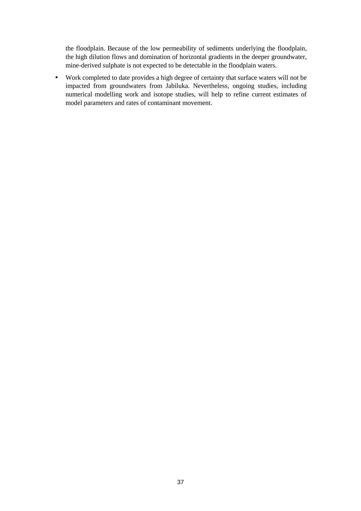the floodplain. Because of the low permeability of sediments underlying the floodplain, the high dilution flows and domination of horizontal gradients in the deeper groundwater, mine-derived sulphate is not expected to be detectable in the floodplain waters.

• Work completed to date provides a high degree of certainty that surface waters will not be impacted from groundwaters from Jabiluka. Nevertheless, ongoing studies, including numerical modelling work and isotope studies, will help to refine current estimates of model parameters and rates of contaminant movement.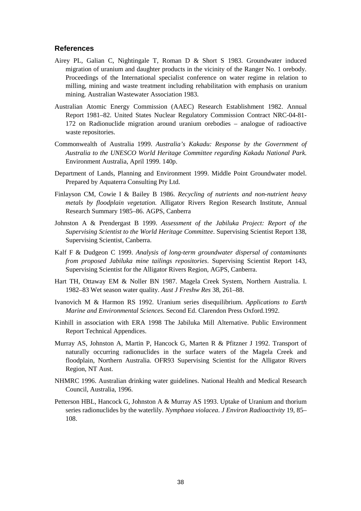### **References**

- Airey PL, Galian C, Nightingale T, Roman D & Short S 1983. Groundwater induced migration of uranium and daughter products in the vicinity of the Ranger No. 1 orebody. Proceedings of the International specialist conference on water regime in relation to milling, mining and waste treatment including rehabilitation with emphasis on uranium mining. Australian Wastewater Association 1983.
- Australian Atomic Energy Commission (AAEC) Research Establishment 1982. Annual Report 1981–82. United States Nuclear Regulatory Commission Contract NRC-04-81- 172 on Radionuclide migration around uranium orebodies – analogue of radioactive waste repositories.
- Commonwealth of Australia 1999. *Australia's Kakadu: Response by the Government of Australia to the UNESCO World Heritage Committee regarding Kakadu National Park*. Environment Australia, April 1999. 140p.
- Department of Lands, Planning and Environment 1999. Middle Point Groundwater model. Prepared by Aquaterra Consulting Pty Ltd.
- Finlayson CM, Cowie I & Bailey B 1986. *Recycling of nutrients and non-nutrient heavy metals by floodplain vegetation.* Alligator Rivers Region Research Institute, Annual Research Summary 1985–86. AGPS, Canberra
- Johnston A & Prendergast B 1999. *Assessment of the Jabiluka Project: Report of the Supervising Scientist to the World Heritage Committee*. Supervising Scientist Report 138, Supervising Scientist, Canberra.
- Kalf F & Dudgeon C 1999. *Analysis of long-term groundwater dispersal of contaminants from proposed Jabiluka mine tailings repositories*. Supervising Scientist Report 143, Supervising Scientist for the Alligator Rivers Region, AGPS, Canberra.
- Hart TH, Ottaway EM & Noller BN 1987. Magela Creek System, Northern Australia. I. 1982–83 Wet season water quality. *Aust J Freshw Res* 38, 261–88.
- Ivanovich M & Harmon RS 1992. Uranium series disequilibrium. *Applications to Earth Marine and Environmental Sciences.* Second Ed. Clarendon Press Oxford.1992.
- Kinhill in association with ERA 1998 The Jabiluka Mill Alternative. Public Environment Report Technical Appendices.
- Murray AS, Johnston A, Martin P, Hancock G, Marten R & Pfitzner J 1992. Transport of naturally occurring radionuclides in the surface waters of the Magela Creek and floodplain, Northern Australia. OFR93 Supervising Scientist for the Alligator Rivers Region, NT Aust.
- NHMRC 1996. Australian drinking water guidelines. National Health and Medical Research Council, Australia, 1996.
- Petterson HBL, Hancock G, Johnston A & Murray AS 1993. Uptake of Uranium and thorium series radionuclides by the waterlily. *Nymphaea violacea*. *J Environ Radioactivity* 19, 85– 108.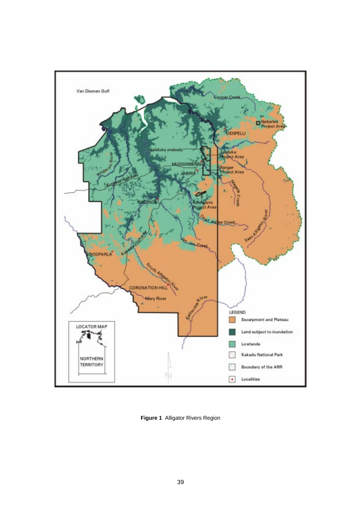

**Figure 1** Alligator Rivers Region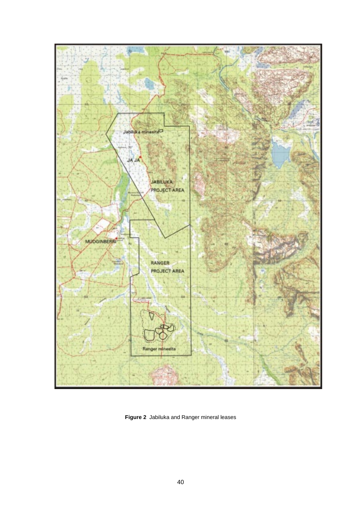

**Figure 2** Jabiluka and Ranger mineral leases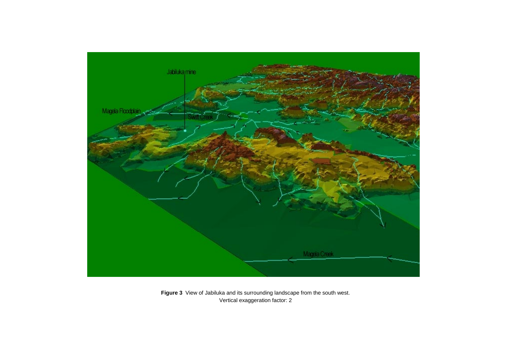

**Figure 3** View of Jabiluka and its surrounding landscape from the south west. Vertical exaggeration factor: 2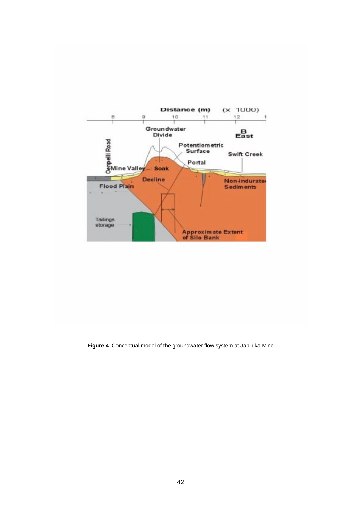

**Figure 4** Conceptual model of the groundwater flow system at Jabiluka Mine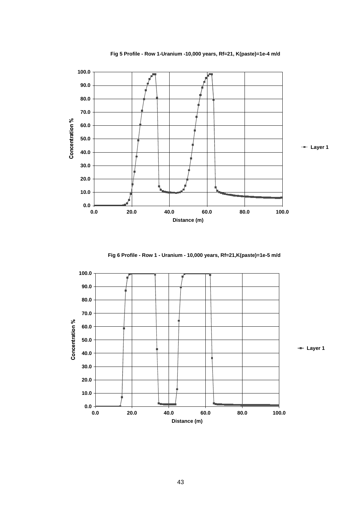

**Fig 5 Profile - Row 1-Uranium -10,000 years, Rf=21, K(paste)=1e-4 m/d**

**Fig 6 Profile - Row 1 - Uranium - 10,000 years, Rf=21,K(paste)=1e-5 m/d**

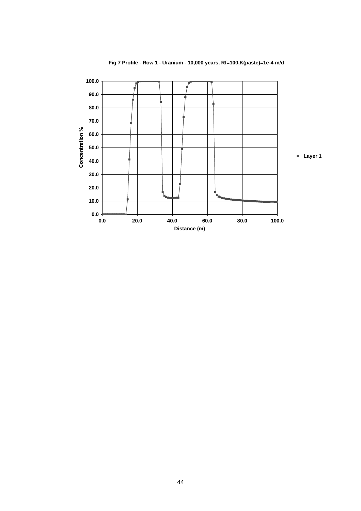

**Fig 7 Profile - Row 1 - Uranium - 10,000 years, Rf=100,K(paste)=1e-4 m/d**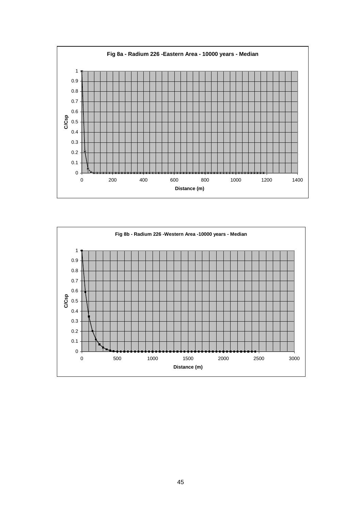

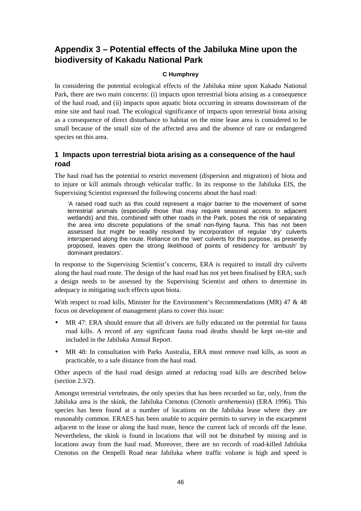# **Appendix 3 – Potential effects of the Jabiluka Mine upon the biodiversity of Kakadu National Park**

### **C Humphrey**

In considering the potential ecological effects of the Jabiluka mine upon Kakadu National Park, there are two main concerns: (i) impacts upon terrestrial biota arising as a consequence of the haul road, and (ii) impacts upon aquatic biota occurring in streams downstream of the mine site and haul road. The ecological significance of impacts upon terrestrial biota arising as a consequence of direct disturbance to habitat on the mine lease area is considered to be small because of the small size of the affected area and the absence of rare or endangered species on this area.

### **1 Impacts upon terrestrial biota arising as a consequence of the haul road**

The haul road has the potential to restrict movement (dispersion and migration) of biota and to injure or kill animals through vehicular traffic. In its response to the Jabiluka EIS, the Supervising Scientist expressed the following concerns about the haul road:

'A raised road such as this could represent a major barrier to the movement of some terrestrial animals (especially those that may require seasonal access to adjacent wetlands) and this, combined with other roads in the Park, poses the risk of separating the area into discrete populations of the small non-flying fauna. This has not been assessed but might be readily resolved by incorporation of regular 'dry' culverts interspersed along the route. Reliance on the 'wet' culverts for this purpose, as presently proposed, leaves open the strong likelihood of points of residency for 'ambush' by dominant predators'.

In response to the Supervising Scientist's concerns, ERA is required to install dry culverts along the haul road route. The design of the haul road has not yet been finalised by ERA; such a design needs to be assessed by the Supervising Scientist and others to determine its adequacy in mitigating such effects upon biota.

With respect to road kills, Minister for the Environment's Recommendations (MR) 47 & 48 focus on development of management plans to cover this issue:

- MR 47: ERA should ensure that all drivers are fully educated on the potential for fauna road kills. A record of any significant fauna road deaths should be kept on-site and included in the Jabiluka Annual Report.
- MR 48: In consultation with Parks Australia, ERA must remove road kills, as soon as practicable, to a safe distance from the haul road.

Other aspects of the haul road design aimed at reducing road kills are described below (section 2.3/2).

Amongst terrestrial vertebrates, the only species that has been recorded so far, only, from the Jabiluka area is the skink, the Jabiluka Ctenotus (*Ctenotis arnhemensis*) (ERA 1996). This species has been found at a number of locations on the Jabiluka lease where they are reasonably common. ERAES has been unable to acquire permits to survey in the escarpment adjacent to the lease or along the haul route, hence the current lack of records off the lease. Nevertheless, the skink is found in locations that will not be disturbed by mining and in locations away from the haul road. Moreover, there are no records of road-killed Jabiluka Ctenotus on the Oenpelli Road near Jabiluka where traffic volume is high and speed is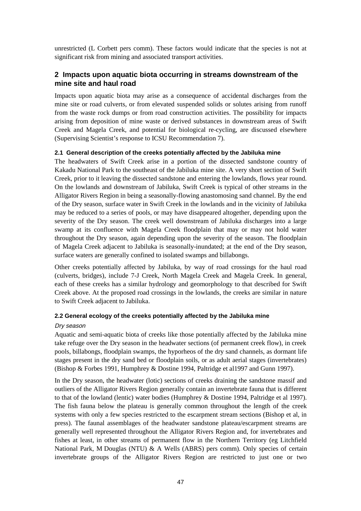unrestricted (L Corbett pers comm). These factors would indicate that the species is not at significant risk from mining and associated transport activities.

### **2 Impacts upon aquatic biota occurring in streams downstream of the mine site and haul road**

Impacts upon aquatic biota may arise as a consequence of accidental discharges from the mine site or road culverts, or from elevated suspended solids or solutes arising from runoff from the waste rock dumps or from road construction activities. The possibility for impacts arising from deposition of mine waste or derived substances in downstream areas of Swift Creek and Magela Creek, and potential for biological re-cycling, are discussed elsewhere (Supervising Scientist's response to ICSU Recommendation 7).

### **2.1 General description of the creeks potentially affected by the Jabiluka mine**

The headwaters of Swift Creek arise in a portion of the dissected sandstone country of Kakadu National Park to the southeast of the Jabiluka mine site. A very short section of Swift Creek, prior to it leaving the dissected sandstone and entering the lowlands, flows year round. On the lowlands and downstream of Jabiluka, Swift Creek is typical of other streams in the Alligator Rivers Region in being a seasonally-flowing anastomosing sand channel. By the end of the Dry season, surface water in Swift Creek in the lowlands and in the vicinity of Jabiluka may be reduced to a series of pools, or may have disappeared altogether, depending upon the severity of the Dry season. The creek well downstream of Jabiluka discharges into a large swamp at its confluence with Magela Creek floodplain that may or may not hold water throughout the Dry season, again depending upon the severity of the season. The floodplain of Magela Creek adjacent to Jabiluka is seasonally-inundated; at the end of the Dry season, surface waters are generally confined to isolated swamps and billabongs.

Other creeks potentially affected by Jabiluka, by way of road crossings for the haul road (culverts, bridges), include 7-J Creek, North Magela Creek and Magela Creek. In general, each of these creeks has a similar hydrology and geomorphology to that described for Swift Creek above. At the proposed road crossings in the lowlands, the creeks are similar in nature to Swift Creek adjacent to Jabiluka.

### **2.2 General ecology of the creeks potentially affected by the Jabiluka mine**

#### Dry season

Aquatic and semi-aquatic biota of creeks like those potentially affected by the Jabiluka mine take refuge over the Dry season in the headwater sections (of permanent creek flow), in creek pools, billabongs, floodplain swamps, the hyporheos of the dry sand channels, as dormant life stages present in the dry sand bed or floodplain soils, or as adult aerial stages (invertebrates) (Bishop & Forbes 1991, Humphrey & Dostine 1994, Paltridge et al1997 and Gunn 1997).

In the Dry season, the headwater (lotic) sections of creeks draining the sandstone massif and outliers of the Alligator Rivers Region generally contain an invertebrate fauna that is different to that of the lowland (lentic) water bodies (Humphrey & Dostine 1994, Paltridge et al 1997). The fish fauna below the plateau is generally common throughout the length of the creek systems with only a few species restricted to the escarpment stream sections (Bishop et al, in press). The faunal assemblages of the headwater sandstone plateau/escarpment streams are generally well represented throughout the Alligator Rivers Region and, for invertebrates and fishes at least, in other streams of permanent flow in the Northern Territory (eg Litchfield National Park, M Douglas (NTU)  $\&$  A Wells (ABRS) pers comm). Only species of certain invertebrate groups of the Alligator Rivers Region are restricted to just one or two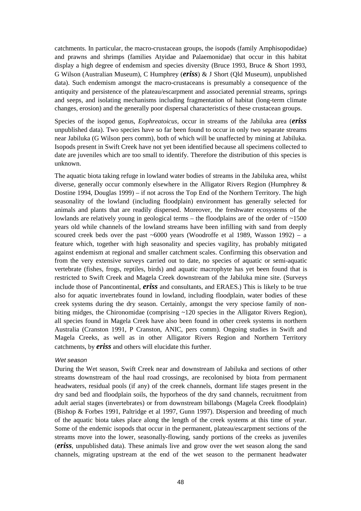catchments. In particular, the macro-crustacean groups, the isopods (family Amphisopodidae) and prawns and shrimps (families Atyidae and Palaemonidae) that occur in this habitat display a high degree of endemism and species diversity (Bruce 1993, Bruce & Short 1993, G Wilson (Australian Museum), C Humphrey (*eriss*) & J Short (Qld Museum), unpublished data). Such endemism amongst the macro-crustaceans is presumably a consequence of the antiquity and persistence of the plateau/escarpment and associated perennial streams, springs and seeps, and isolating mechanisms including fragmentation of habitat (long-term climate changes, erosion) and the generally poor dispersal characteristics of these crustacean groups.

Species of the isopod genus, *Eophreatoicus*, occur in streams of the Jabiluka area (*eriss* unpublished data). Two species have so far been found to occur in only two separate streams near Jabiluka (G Wilson pers comm), both of which will be unaffected by mining at Jabiluka. Isopods present in Swift Creek have not yet been identified because all specimens collected to date are juveniles which are too small to identify. Therefore the distribution of this species is unknown.

The aquatic biota taking refuge in lowland water bodies of streams in the Jabiluka area, whilst diverse, generally occur commonly elsewhere in the Alligator Rivers Region (Humphrey & Dostine 1994, Douglas 1999) – if not across the Top End of the Northern Territory. The high seasonality of the lowland (including floodplain) environment has generally selected for animals and plants that are readily dispersed. Moreover, the freshwater ecosystems of the lowlands are relatively young in geological terms – the floodplains are of the order of ~1500 years old while channels of the lowland streams have been infilling with sand from deeply scoured creek beds over the past  $~6000$  years (Woodroffe et al 1989, Wasson 1992) – a feature which, together with high seasonality and species vagility, has probably mitigated against endemism at regional and smaller catchment scales. Confirming this observation and from the very extensive surveys carried out to date, no species of aquatic or semi-aquatic vertebrate (fishes, frogs, reptiles, birds) and aquatic macrophyte has yet been found that is restricted to Swift Creek and Magela Creek downstream of the Jabiluka mine site. (Surveys include those of Pancontinental, *eriss* and consultants, and ERAES.) This is likely to be true also for aquatic invertebrates found in lowland, including floodplain, water bodies of these creek systems during the dry season. Certainly, amongst the very speciose family of nonbiting midges, the Chironomidae (comprising ~120 species in the Alligator Rivers Region), all species found in Magela Creek have also been found in other creek systems in northern Australia (Cranston 1991, P Cranston, ANIC, pers comm). Ongoing studies in Swift and Magela Creeks, as well as in other Alligator Rivers Region and Northern Territory catchments, by *eriss* and others will elucidate this further.

### Wet season

During the Wet season, Swift Creek near and downstream of Jabiluka and sections of other streams downstream of the haul road crossings, are recolonised by biota from permanent headwaters, residual pools (if any) of the creek channels, dormant life stages present in the dry sand bed and floodplain soils, the hyporheos of the dry sand channels, recruitment from adult aerial stages (invertebrates) or from downstream billabongs (Magela Creek floodplain) (Bishop & Forbes 1991, Paltridge et al 1997, Gunn 1997). Dispersion and breeding of much of the aquatic biota takes place along the length of the creek systems at this time of year. Some of the endemic isopods that occur in the permanent, plateau/escarpment sections of the streams move into the lower, seasonally-flowing, sandy portions of the creeks as juveniles (*eriss*, unpublished data). These animals live and grow over the wet season along the sand channels, migrating upstream at the end of the wet season to the permanent headwater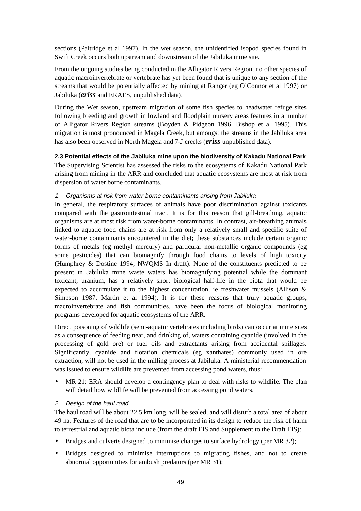sections (Paltridge et al 1997). In the wet season, the unidentified isopod species found in Swift Creek occurs both upstream and downstream of the Jabiluka mine site.

From the ongoing studies being conducted in the Alligator Rivers Region, no other species of aquatic macroinvertebrate or vertebrate has yet been found that is unique to any section of the streams that would be potentially affected by mining at Ranger (eg O'Connor et al 1997) or Jabiluka (*eriss* and ERAES, unpublished data).

During the Wet season, upstream migration of some fish species to headwater refuge sites following breeding and growth in lowland and floodplain nursery areas features in a number of Alligator Rivers Region streams (Boyden & Pidgeon 1996, Bishop et al 1995). This migration is most pronounced in Magela Creek, but amongst the streams in the Jabiluka area has also been observed in North Magela and 7-J creeks (*eriss* unpublished data).

**2.3 Potential effects of the Jabiluka mine upon the biodiversity of Kakadu National Park**

The Supervising Scientist has assessed the risks to the ecosystems of Kakadu National Park arising from mining in the ARR and concluded that aquatic ecosystems are most at risk from dispersion of water borne contaminants.

### 1. Organisms at risk from water-borne contaminants arising from Jabiluka

In general, the respiratory surfaces of animals have poor discrimination against toxicants compared with the gastrointestinal tract. It is for this reason that gill-breathing, aquatic organisms are at most risk from water-borne contaminants. In contrast, air-breathing animals linked to aquatic food chains are at risk from only a relatively small and specific suite of water-borne contaminants encountered in the diet; these substances include certain organic forms of metals (eg methyl mercury) and particular non-metallic organic compounds (eg some pesticides) that can biomagnify through food chains to levels of high toxicity (Humphrey & Dostine 1994, NWQMS In draft). None of the constituents predicted to be present in Jabiluka mine waste waters has biomagnifying potential while the dominant toxicant, uranium, has a relatively short biological half-life in the biota that would be expected to accumulate it to the highest concentration, ie freshwater mussels (Allison & Simpson 1987, Martin et al 1994). It is for these reasons that truly aquatic groups, macroinvertebrate and fish communities, have been the focus of biological monitoring programs developed for aquatic ecosystems of the ARR.

Direct poisoning of wildlife (semi-aquatic vertebrates including birds) can occur at mine sites as a consequence of feeding near, and drinking of, waters containing cyanide (involved in the processing of gold ore) or fuel oils and extractants arising from accidental spillages. Significantly, cyanide and flotation chemicals (eg xanthates) commonly used in ore extraction, will not be used in the milling process at Jabiluka. A ministerial recommendation was issued to ensure wildlife are prevented from accessing pond waters, thus:

MR 21: ERA should develop a contingency plan to deal with risks to wildlife. The plan will detail how wildlife will be prevented from accessing pond waters.

### 2. Design of the haul road

The haul road will be about 22.5 km long, will be sealed, and will disturb a total area of about 49 ha. Features of the road that are to be incorporated in its design to reduce the risk of harm to terrestrial and aquatic biota include (from the draft EIS and Supplement to the Draft EIS):

- Bridges and culverts designed to minimise changes to surface hydrology (per MR 32);
- Bridges designed to minimise interruptions to migrating fishes, and not to create abnormal opportunities for ambush predators (per MR 31);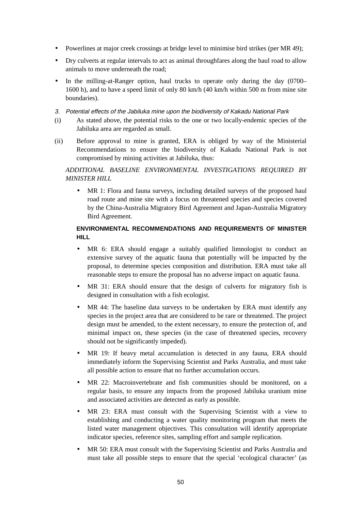- Powerlines at major creek crossings at bridge level to minimise bird strikes (per MR 49);
- Dry culverts at regular intervals to act as animal throughfares along the haul road to allow animals to move underneath the road;
- In the milling-at-Ranger option, haul trucks to operate only during the day (0700– 1600 h), and to have a speed limit of only 80 km/h (40 km/h within 500 m from mine site boundaries).
- 3. Potential effects of the Jabiluka mine upon the biodiversity of Kakadu National Park
- (i) As stated above, the potential risks to the one or two locally-endemic species of the Jabiluka area are regarded as small.
- (ii) Before approval to mine is granted, ERA is obliged by way of the Ministerial Recommendations to ensure the biodiversity of Kakadu National Park is not compromised by mining activities at Jabiluka, thus:

### *ADDITIONAL BASELINE ENVIRONMENTAL INVESTIGATIONS REQUIRED BY MINISTER HILL*

• MR 1: Flora and fauna surveys, including detailed surveys of the proposed haul road route and mine site with a focus on threatened species and species covered by the China-Australia Migratory Bird Agreement and Japan-Australia Migratory Bird Agreement.

### **ENVIRONMENTAL RECOMMENDATIONS AND REQUIREMENTS OF MINISTER HILL**

- MR 6: ERA should engage a suitably qualified limnologist to conduct an extensive survey of the aquatic fauna that potentially will be impacted by the proposal, to determine species composition and distribution. ERA must take all reasonable steps to ensure the proposal has no adverse impact on aquatic fauna.
- MR 31: ERA should ensure that the design of culverts for migratory fish is designed in consultation with a fish ecologist.
- MR 44: The baseline data surveys to be undertaken by ERA must identify any species in the project area that are considered to be rare or threatened. The project design must be amended, to the extent necessary, to ensure the protection of, and minimal impact on, these species (in the case of threatened species, recovery should not be significantly impeded).
- MR 19: If heavy metal accumulation is detected in any fauna, ERA should immediately inform the Supervising Scientist and Parks Australia, and must take all possible action to ensure that no further accumulation occurs.
- MR 22: Macroinvertebrate and fish communities should be monitored, on a regular basis, to ensure any impacts from the proposed Jabiluka uranium mine and associated activities are detected as early as possible.
- MR 23: ERA must consult with the Supervising Scientist with a view to establishing and conducting a water quality monitoring program that meets the listed water management objectives. This consultation will identify appropriate indicator species, reference sites, sampling effort and sample replication.
- MR 50: ERA must consult with the Supervising Scientist and Parks Australia and must take all possible steps to ensure that the special 'ecological character' (as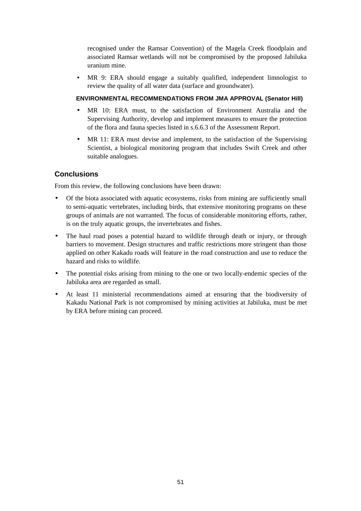recognised under the Ramsar Convention) of the Magela Creek floodplain and associated Ramsar wetlands will not be compromised by the proposed Jabiluka uranium mine.

• MR 9: ERA should engage a suitably qualified, independent limnologist to review the quality of all water data (surface and groundwater).

### **ENVIRONMENTAL RECOMMENDATIONS FROM JMA APPROVAL (Senator Hill)**

- MR 10: ERA must, to the satisfaction of Environment Australia and the Supervising Authority, develop and implement measures to ensure the protection of the flora and fauna species listed in s.6.6.3 of the Assessment Report.
- MR 11: ERA must devise and implement, to the satisfaction of the Supervising Scientist, a biological monitoring program that includes Swift Creek and other suitable analogues.

### **Conclusions**

From this review, the following conclusions have been drawn:

- Of the biota associated with aquatic ecosystems, risks from mining are sufficiently small to semi-aquatic vertebrates, including birds, that extensive monitoring programs on these groups of animals are not warranted. The focus of considerable monitoring efforts, rather, is on the truly aquatic groups, the invertebrates and fishes.
- The haul road poses a potential hazard to wildlife through death or injury, or through barriers to movement. Design structures and traffic restrictions more stringent than those applied on other Kakadu roads will feature in the road construction and use to reduce the hazard and risks to wildlife.
- The potential risks arising from mining to the one or two locally-endemic species of the Jabiluka area are regarded as small.
- At least 11 ministerial recommendations aimed at ensuring that the biodiversity of Kakadu National Park is not compromised by mining activities at Jabiluka, must be met by ERA before mining can proceed.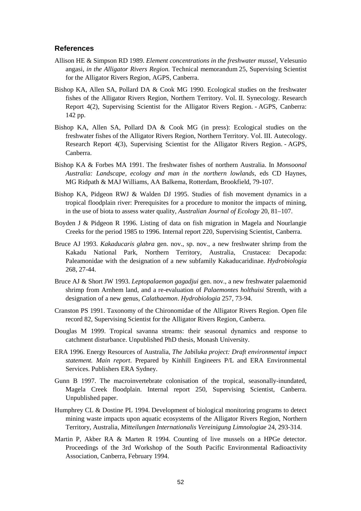### **References**

- Allison HE & Simpson RD 1989. *Element concentrations in the freshwater mussel,* Velesunio angasi*, in the Alligator Rivers Region.* Technical memorandum 25, Supervising Scientist for the Alligator Rivers Region, AGPS, Canberra.
- Bishop KA, Allen SA, Pollard DA & Cook MG 1990. Ecological studies on the freshwater fishes of the Alligator Rivers Region, Northern Territory. Vol. II. Synecology. Research Report 4(2), Supervising Scientist for the Alligator Rivers Region. - AGPS, Canberra: 142 pp.
- Bishop KA, Allen SA, Pollard DA & Cook MG (in press): Ecological studies on the freshwater fishes of the Alligator Rivers Region, Northern Territory. Vol. III. Autecology. Research Report 4(3), Supervising Scientist for the Alligator Rivers Region. - AGPS, Canberra.
- Bishop KA & Forbes MA 1991. The freshwater fishes of northern Australia. In *Monsoonal Australia: Landscape, ecology and man in the northern lowlands*, eds CD Haynes, MG Ridpath & MAJ Williams, AA Balkema, Rotterdam, Brookfield, 79-107.
- Bishop KA, Pidgeon RWJ & Walden DJ 1995. Studies of fish movement dynamics in a tropical floodplain river: Prerequisites for a procedure to monitor the impacts of mining, in the use of biota to assess water quality, *Australian Journal of Ecology* 20, 81–107.
- Boyden J & Pidgeon R 1996. Listing of data on fish migration in Magela and Nourlangie Creeks for the period 1985 to 1996. Internal report 220, Supervising Scientist, Canberra.
- Bruce AJ 1993. *Kakaducaris glabra* gen. nov., sp. nov., a new freshwater shrimp from the Kakadu National Park, Northern Territory, Australia, Crustacea: Decapoda: Paleamonidae with the designation of a new subfamily Kakaducaridinae. *Hydrobiologia* 268, 27-44.
- Bruce AJ & Short JW 1993. *Leptopalaemon gagadjui* gen. nov., a new freshwater palaemonid shrimp from Arnhem land, and a re-evaluation of *Palaemontes holthuisi* Strenth, with a designation of a new genus, *Calathaemon*. *Hydrobiologia* 257, 73-94.
- Cranston PS 1991. Taxonomy of the Chironomidae of the Alligator Rivers Region. Open file record 82, Supervising Scientist for the Alligator Rivers Region, Canberra.
- Douglas M 1999. Tropical savanna streams: their seasonal dynamics and response to catchment disturbance. Unpublished PhD thesis, Monash University.
- ERA 1996. Energy Resources of Australia, *The Jabiluka project: Draft environmental impact statement. Main report*. Prepared by Kinhill Engineers P/L and ERA Environmental Services. Publishers ERA Sydney.
- Gunn B 1997. The macroinvertebrate colonisation of the tropical, seasonally-inundated, Magela Creek floodplain. Internal report 250, Supervising Scientist, Canberra. Unpublished paper.
- Humphrey CL & Dostine PL 1994. Development of biological monitoring programs to detect mining waste impacts upon aquatic ecosystems of the Alligator Rivers Region, Northern Territory, Australia, *Mitteilungen Internationalis Vereinigung Limnologiae* 24, 293-314.
- Martin P, Akber RA & Marten R 1994. Counting of live mussels on a HPGe detector. Proceedings of the 3rd Workshop of the South Pacific Environmental Radioactivity Association, Canberra, February 1994.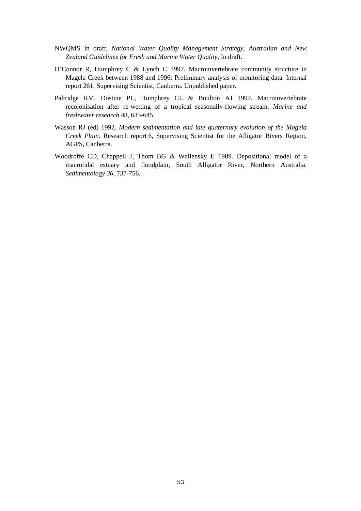- NWQMS In draft, *National Water Quality Management Strategy, Australian and New Zealand Guidelines for Fresh and Marine Water Quality*, In draft.
- O'Connor R, Humphrey C & Lynch C 1997. Macroinvertebrate community structure in Magela Creek between 1988 and 1996: Preliminary analysis of monitoring data. Internal report 261, Supervising Scientist, Canberra. Unpublished paper.
- Paltridge RM, Dostine PL, Humphrey CL & Boulton AJ 1997. Macroinvertebrate recolonisation after re-wetting of a tropical seasonally-flowing stream. *Marine and freshwater research* 48, 633-645.
- Wasson RJ (ed) 1992. *Modern sedimentation and late quaternary evolution of the Magela Creek Plain*. Research report 6, Supervising Scientist for the Alligator Rivers Region, AGPS, Canberra.
- Woodroffe CD, Chappell J, Thom BG & Wallensky E 1989. Depositional model of a macrotidal estuary and floodplain, South Alligator River, Northern Australia. *Sedimentology 36*, 737-756.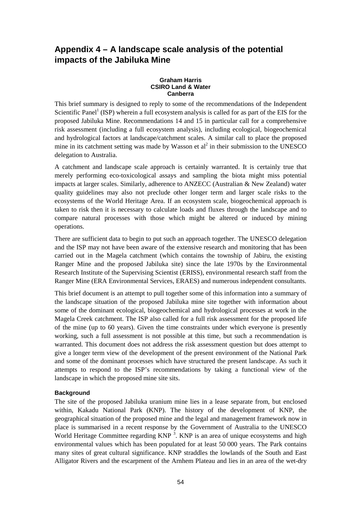# **Appendix 4 – A landscape scale analysis of the potential impacts of the Jabiluka Mine**

#### **Graham Harris CSIRO Land & Water Canberra**

This brief summary is designed to reply to some of the recommendations of the Independent Scientific Panel<sup>1</sup> (ISP) wherein a full ecosystem analysis is called for as part of the EIS for the proposed Jabiluka Mine. Recommendations 14 and 15 in particular call for a comprehensive risk assessment (including a full ecosystem analysis), including ecological, biogeochemical and hydrological factors at landscape/catchment scales. A similar call to place the proposed mine in its catchment setting was made by Wasson et  $al^2$  in their submission to the UNESCO delegation to Australia.

A catchment and landscape scale approach is certainly warranted. It is certainly true that merely performing eco-toxicological assays and sampling the biota might miss potential impacts at larger scales. Similarly, adherence to ANZECC (Australian & New Zealand) water quality guidelines may also not preclude other longer term and larger scale risks to the ecosystems of the World Heritage Area. If an ecosystem scale, biogeochemical approach is taken to risk then it is necessary to calculate loads and fluxes through the landscape and to compare natural processes with those which might be altered or induced by mining operations.

There are sufficient data to begin to put such an approach together. The UNESCO delegation and the ISP may not have been aware of the extensive research and monitoring that has been carried out in the Magela catchment (which contains the township of Jabiru, the existing Ranger Mine and the proposed Jabiluka site) since the late 1970s by the Environmental Research Institute of the Supervising Scientist (ERISS), environmental research staff from the Ranger Mine (ERA Environmental Services, ERAES) and numerous independent consultants.

This brief document is an attempt to pull together some of this information into a summary of the landscape situation of the proposed Jabiluka mine site together with information about some of the dominant ecological, biogeochemical and hydrological processes at work in the Magela Creek catchment. The ISP also called for a full risk assessment for the proposed life of the mine (up to 60 years). Given the time constraints under which everyone is presently working, such a full assessment is not possible at this time, but such a recommendation is warranted. This document does not address the risk assessment question but does attempt to give a longer term view of the development of the present environment of the National Park and some of the dominant processes which have structured the present landscape. As such it attempts to respond to the ISP's recommendations by taking a functional view of the landscape in which the proposed mine site sits.

### **Background**

The site of the proposed Jabiluka uranium mine lies in a lease separate from, but enclosed within, Kakadu National Park (KNP). The history of the development of KNP, the geographical situation of the proposed mine and the legal and management framework now in place is summarised in a recent response by the Government of Australia to the UNESCO World Heritage Committee regarding KNP<sup>3</sup>. KNP is an area of unique ecosystems and high environmental values which has been populated for at least 50 000 years. The Park contains many sites of great cultural significance. KNP straddles the lowlands of the South and East Alligator Rivers and the escarpment of the Arnhem Plateau and lies in an area of the wet-dry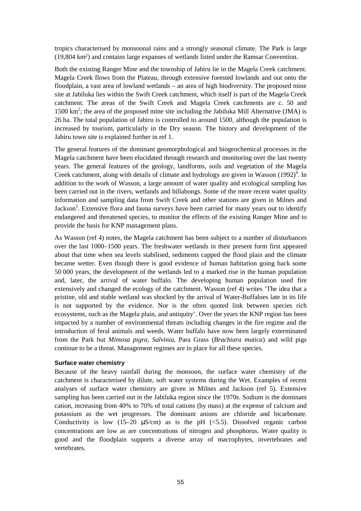tropics characterised by monsoonal rains and a strongly seasonal climate. The Park is large (19,804 km2) and contains large expanses of wetlands listed under the Ramsar Convention.

Both the existing Ranger Mine and the township of Jabiru lie in the Magela Creek catchment. Magela Creek flows from the Plateau, through extensive forested lowlands and out onto the floodplain, a vast area of lowland wetlands – an area of high biodiversity. The proposed mine site at Jabiluka lies within the Swift Creek catchment, which itself is part of the Magela Creek catchment. The areas of the Swift Creek and Magela Creek catchments are c. 50 and 1500 km<sup>2</sup>; the area of the proposed mine site including the Jabiluka Mill Alternative (JMA) is 26 ha. The total population of Jabiru is controlled to around 1500, although the population is increased by tourism, particularly in the Dry season. The history and development of the Jabiru town site is explained further in ref 1.

The general features of the dominant geomorphological and biogeochemical processes in the Magela catchment have been elucidated through research and monitoring over the last twenty years. The general features of the geology, landforms, soils and vegetation of the Magela Creek catchment, along with details of climate and hydrology are given in Wasson  $(1992)^4$ . In addition to the work of Wasson, a large amount of water quality and ecological sampling has been carried out in the rivers, wetlands and billabongs. Some of the more recent water quality information and sampling data from Swift Creek and other stations are given in Milnes and Jackson<sup>5</sup>. Extensive flora and fauna surveys have been carried for many years out to identify endangered and threatened species, to monitor the effects of the existing Ranger Mine and to provide the basis for KNP management plans.

As Wasson (ref 4) notes, the Magela catchment has been subject to a number of disturbances over the last 1000–1500 years. The freshwater wetlands in their present form first appeared about that time when sea levels stabilised, sediments capped the flood plain and the climate became wetter. Even though there is good evidence of human habitation going back some 50 000 years, the development of the wetlands led to a marked rise in the human population and, later, the arrival of water buffalo. The developing human population used fire extensively and changed the ecology of the catchment. Wasson (ref 4) writes 'The idea that a pristine, old and stable wetland was shocked by the arrival of Water-Buffaloes late in its life is not supported by the evidence. Nor is the often quoted link between species rich ecosystems, such as the Magela plain, and antiquity'. Over the years the KNP region has been impacted by a number of environmental threats including changes in the fire regime and the introduction of feral animals and weeds. Water buffalo have now been largely exterminated from the Park but *Mimosa pigra*, *Salvinia*, Para Grass (*Brachiara mutica*) and wild pigs continue to be a threat. Management regimes are in place for all these species.

#### **Surface water chemistry**

Because of the heavy rainfall during the monsoon, the surface water chemistry of the catchment is characterised by dilute, soft water systems during the Wet. Examples of recent analyses of surface water chemistry are given in Milnes and Jackson (ref 5). Extensive sampling has been carried out in the Jabiluka region since the 1970s. Sodium is the dominant cation, increasing from 40% to 70% of total cations (by mass) at the expense of calcium and potassium as the wet progresses. The dominant anions are chloride and bicarbonate. Conductivity is low (15–20  $\mu$ S/cm) as is the pH (<5.5). Dissolved organic carbon concentrations are low as are concentrations of nitrogen and phosphorus. Water quality is good and the floodplain supports a diverse array of macrophytes, invertebrates and vertebrates.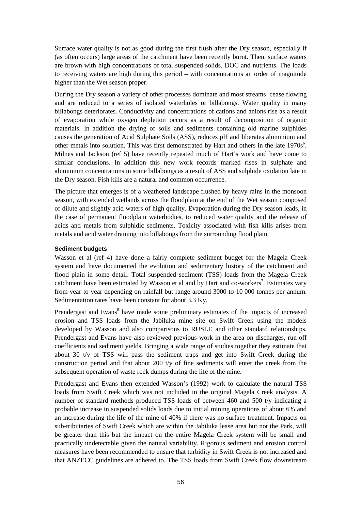Surface water quality is not as good during the first flush after the Dry season, especially if (as often occurs) large areas of the catchment have been recently burnt. Then, surface waters are brown with high concentrations of total suspended solids, DOC and nutrients. The loads to receiving waters are high during this period – with concentrations an order of magnitude higher than the Wet season proper.

During the Dry season a variety of other processes dominate and most streams cease flowing and are reduced to a series of isolated waterholes or billabongs. Water quality in many billabongs deteriorates. Conductivity and concentrations of cations and anions rise as a result of evaporation while oxygen depletion occurs as a result of decomposition of organic materials. In addition the drying of soils and sediments containing old marine sulphides causes the generation of Acid Sulphate Soils (ASS), reduces pH and liberates aluminium and other metals into solution. This was first demonstrated by Hart and others in the late  $1970s<sup>6</sup>$ . Milnes and Jackson (ref 5) have recently repeated much of Hart's work and have come to similar conclusions. In addition this new work records marked rises in sulphate and aluminium concentrations in some billabongs as a result of ASS and sulphide oxidation late in the Dry season. Fish kills are a natural and common occurrence.

The picture that emerges is of a weathered landscape flushed by heavy rains in the monsoon season, with extended wetlands across the floodplain at the end of the Wet season composed of dilute and slightly acid waters of high quality. Evaporation during the Dry season leads, in the case of permanent floodplain waterbodies, to reduced water quality and the release of acids and metals from sulphidic sediments. Toxicity associated with fish kills arises from metals and acid water draining into billabongs from the surrounding flood plain.

### **Sediment budgets**

Wasson et al (ref 4) have done a fairly complete sediment budget for the Magela Creek system and have documented the evolution and sedimentary history of the catchment and flood plain in some detail. Total suspended sediment (TSS) loads from the Magela Creek catchment have been estimated by Wasson et al and by Hart and co-workers<sup>7</sup>. Estimates vary from year to year depending on rainfall but range around 3000 to 10 000 tonnes per annum. Sedimentation rates have been constant for about 3.3 Ky.

Prendergast and Evans<sup>8</sup> have made some preliminary estimates of the impacts of increased erosion and TSS loads from the Jabiluka mine site on Swift Creek using the models developed by Wasson and also comparisons to RUSLE and other standard relationships. Prendergast and Evans have also reviewed previous work in the area on discharges, run-off coefficients and sediment yields. Bringing a wide range of studies together they estimate that about 30 t/y of TSS will pass the sediment traps and get into Swift Creek during the construction period and that about 200 t/y of fine sediments will enter the creek from the subsequent operation of waste rock dumps during the life of the mine.

Prendergast and Evans then extended Wasson's (1992) work to calculate the natural TSS loads from Swift Creek which was not included in the original Magela Creek analysis. A number of standard methods produced TSS loads of between 460 and 500 t/y indicating a probable increase in suspended solids loads due to initial mining operations of about 6% and an increase during the life of the mine of 40% if there was no surface treatment. Impacts on sub-tributaries of Swift Creek which are within the Jabiluka lease area but not the Park, will be greater than this but the impact on the entire Magela Creek system will be small and practically undetectable given the natural variability. Rigorous sediment and erosion control measures have been recommended to ensure that turbidity in Swift Creek is not increased and that ANZECC guidelines are adhered to. The TSS loads from Swift Creek flow downstream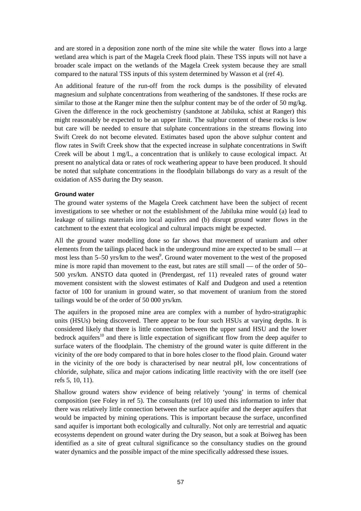and are stored in a deposition zone north of the mine site while the water flows into a large wetland area which is part of the Magela Creek flood plain. These TSS inputs will not have a broader scale impact on the wetlands of the Magela Creek system because they are small compared to the natural TSS inputs of this system determined by Wasson et al (ref 4).

An additional feature of the run-off from the rock dumps is the possibility of elevated magnesium and sulphate concentrations from weathering of the sandstones. If these rocks are similar to those at the Ranger mine then the sulphur content may be of the order of 50 mg/kg. Given the difference in the rock geochemistry (sandstone at Jabiluka, schist at Ranger) this might reasonably be expected to be an upper limit. The sulphur content of these rocks is low but care will be needed to ensure that sulphate concentrations in the streams flowing into Swift Creek do not become elevated. Estimates based upon the above sulphur content and flow rates in Swift Creek show that the expected increase in sulphate concentrations in Swift Creek will be about 1 mg/L, a concentration that is unlikely to cause ecological impact. At present no analytical data or rates of rock weathering appear to have been produced. It should be noted that sulphate concentrations in the floodplain billabongs do vary as a result of the oxidation of ASS during the Dry season.

#### **Ground water**

The ground water systems of the Magela Creek catchment have been the subject of recent investigations to see whether or not the establishment of the Jabiluka mine would (a) lead to leakage of tailings materials into local aquifers and (b) disrupt ground water flows in the catchment to the extent that ecological and cultural impacts might be expected.

All the ground water modelling done so far shows that movement of uranium and other elements from the tailings placed back in the underground mine are expected to be small — at most less than 5–50 yrs/km to the west<sup>9</sup>. Ground water movement to the west of the proposed mine is more rapid than movement to the east, but rates are still small — of the order of 50– 500 yrs/km. ANSTO data quoted in (Prendergast, ref 11) revealed rates of ground water movement consistent with the slowest estimates of Kalf and Dudgeon and used a retention factor of 100 for uranium in ground water, so that movement of uranium from the stored tailings would be of the order of 50 000 yrs/km.

The aquifers in the proposed mine area are complex with a number of hydro-stratigraphic units (HSUs) being discovered. There appear to be four such HSUs at varying depths. It is considered likely that there is little connection between the upper sand HSU and the lower bedrock aquifers<sup>10</sup> and there is little expectation of significant flow from the deep aquifer to surface waters of the floodplain. The chemistry of the ground water is quite different in the vicinity of the ore body compared to that in bore holes closer to the flood plain. Ground water in the vicinity of the ore body is characterised by near neutral pH, low concentrations of chloride, sulphate, silica and major cations indicating little reactivity with the ore itself (see refs 5, 10, 11).

Shallow ground waters show evidence of being relatively 'young' in terms of chemical composition (see Foley in ref 5). The consultants (ref 10) used this information to infer that there was relatively little connection between the surface aquifer and the deeper aquifers that would be impacted by mining operations. This is important because the surface, unconfined sand aquifer is important both ecologically and culturally. Not only are terrestrial and aquatic ecosystems dependent on ground water during the Dry season, but a soak at Boiweg has been identified as a site of great cultural significance so the consultancy studies on the ground water dynamics and the possible impact of the mine specifically addressed these issues.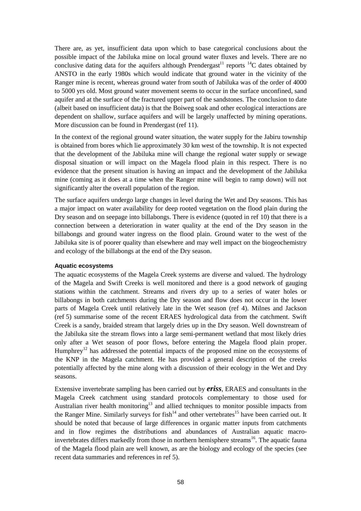There are, as yet, insufficient data upon which to base categorical conclusions about the possible impact of the Jabiluka mine on local ground water fluxes and levels. There are no conclusive dating data for the aquifers although Prendergast<sup>11</sup> reports <sup>14</sup>C dates obtained by ANSTO in the early 1980s which would indicate that ground water in the vicinity of the Ranger mine is recent, whereas ground water from south of Jabiluka was of the order of 4000 to 5000 yrs old. Most ground water movement seems to occur in the surface unconfined, sand aquifer and at the surface of the fractured upper part of the sandstones. The conclusion to date (albeit based on insufficient data) is that the Boiweg soak and other ecological interactions are dependent on shallow, surface aquifers and will be largely unaffected by mining operations. More discussion can be found in Prendergast (ref 11).

In the context of the regional ground water situation, the water supply for the Jabiru township is obtained from bores which lie approximately 30 km west of the township. It is not expected that the development of the Jabiluka mine will change the regional water supply or sewage disposal situation or will impact on the Magela flood plain in this respect. There is no evidence that the present situation is having an impact and the development of the Jabiluka mine (coming as it does at a time when the Ranger mine will begin to ramp down) will not significantly alter the overall population of the region.

The surface aquifers undergo large changes in level during the Wet and Dry seasons. This has a major impact on water availability for deep rooted vegetation on the flood plain during the Dry season and on seepage into billabongs. There is evidence (quoted in ref 10) that there is a connection between a deterioration in water quality at the end of the Dry season in the billabongs and ground water ingress on the flood plain. Ground water to the west of the Jabiluka site is of poorer quality than elsewhere and may well impact on the biogeochemistry and ecology of the billabongs at the end of the Dry season.

### **Aquatic ecosystems**

The aquatic ecosystems of the Magela Creek systems are diverse and valued. The hydrology of the Magela and Swift Creeks is well monitored and there is a good network of gauging stations within the catchment. Streams and rivers dry up to a series of water holes or billabongs in both catchments during the Dry season and flow does not occur in the lower parts of Magela Creek until relatively late in the Wet season (ref 4). Milnes and Jackson (ref 5) summarise some of the recent ERAES hydrological data from the catchment. Swift Creek is a sandy, braided stream that largely dries up in the Dry season. Well downstream of the Jabiluka site the stream flows into a large semi-permanent wetland that most likely dries only after a Wet season of poor flows, before entering the Magela flood plain proper. Humphrey<sup>12</sup> has addressed the potential impacts of the proposed mine on the ecosystems of the KNP in the Magela catchment. He has provided a general description of the creeks potentially affected by the mine along with a discussion of their ecology in the Wet and Dry seasons.

Extensive invertebrate sampling has been carried out by *eriss*, ERAES and consultants in the Magela Creek catchment using standard protocols complementary to those used for Australian river health monitoring<sup>13</sup> and allied techniques to monitor possible impacts from the Ranger Mine. Similarly surveys for  $fish<sup>14</sup>$  and other vertebrates<sup>15</sup> have been carried out. It should be noted that because of large differences in organic matter inputs from catchments and in flow regimes the distributions and abundances of Australian aquatic macroinvertebrates differs markedly from those in northern hemisphere streams<sup>16</sup>. The aquatic fauna of the Magela flood plain are well known, as are the biology and ecology of the species (see recent data summaries and references in ref 5).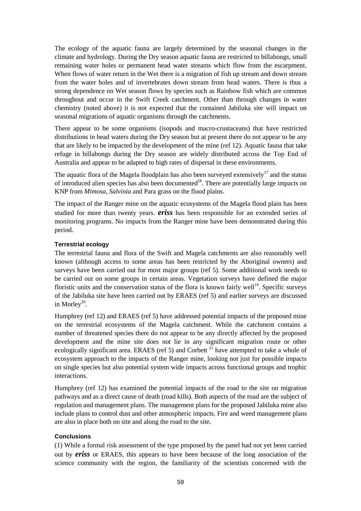The ecology of the aquatic fauna are largely determined by the seasonal changes in the climate and hydrology. During the Dry season aquatic fauna are restricted to billabongs, small remaining water holes or permanent head water streams which flow from the escarpment. When flows of water return in the Wet there is a migration of fish up stream and down stream from the water holes and of invertebrates down stream from head waters. There is thus a strong dependence on Wet season flows by species such as Rainbow fish which are common throughout and occur in the Swift Creek catchment. Other than through changes in water chemistry (noted above) it is not expected that the contained Jabiluka site will impact on seasonal migrations of aquatic organisms through the catchments.

There appear to be some organisms (isopods and macro-crustaceans) that have restricted distributions in head waters during the Dry season but at present there do not appear to be any that are likely to be impacted by the development of the mine (ref 12). Aquatic fauna that take refuge in billabongs during the Dry season are widely distributed across the Top End of Australia and appear to be adapted to high rates of dispersal in these environments.

The aquatic flora of the Magela floodplain has also been surveyed extensively<sup>17</sup> and the status of introduced alien species has also been documented<sup>18</sup>. There are potentially large impacts on KNP from *Mimosa*, *Salvinia* and Para grass on the flood plains.

The impact of the Ranger mine on the aquatic ecosystems of the Magela flood plain has been studied for more than twenty years. *eriss* has been responsible for an extended series of monitoring programs. No impacts from the Ranger mine have been demonstrated during this period.

### **Terrestrial ecology**

The terrestrial fauna and flora of the Swift and Magela catchments are also reasonably well known (although access to some areas has been restricted by the Aboriginal owners) and surveys have been carried out for most major groups (ref 5). Some additional work needs to be carried out on some groups in certain areas. Vegetation surveys have defined the major floristic units and the conservation status of the flora is known fairly well<sup>19</sup>. Specific surveys of the Jabiluka site have been carried out by ERAES (ref 5) and earlier surveys are discussed in Morley<sup>20</sup>.

Humphrey (ref 12) and ERAES (ref 5) have addressed potential impacts of the proposed mine on the terrestrial ecosystems of the Magela catchment. While the catchment contains a number of threatened species there do not appear to be any directly affected by the proposed development and the mine site does not lie in any significant migration route or other ecologically significant area. ERAES (ref 5) and Corbett<sup>21</sup> have attempted to take a whole of ecosystem approach to the impacts of the Ranger mine, looking not just for possible impacts on single species but also potential system wide impacts across functional groups and trophic interactions.

Humphrey (ref 12) has examined the potential impacts of the road to the site on migration pathways and as a direct cause of death (road kills). Both aspects of the road are the subject of regulation and management plans. The management plans for the proposed Jabiluka mine also include plans to control dust and other atmospheric impacts. Fire and weed management plans are also in place both on site and along the road to the site.

### **Conclusions**

(1) While a formal risk assessment of the type proposed by the panel had not yet been carried out by *eriss* or ERAES, this appears to have been because of the long association of the science community with the region, the familiarity of the scientists concerned with the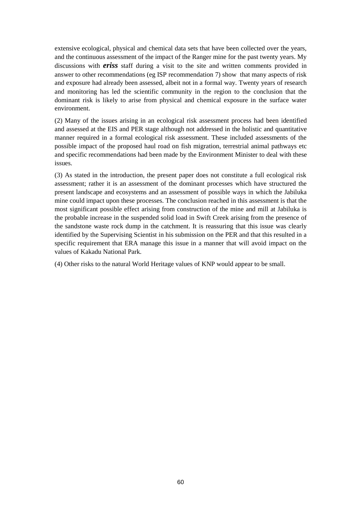extensive ecological, physical and chemical data sets that have been collected over the years, and the continuous assessment of the impact of the Ranger mine for the past twenty years. My discussions with *eriss* staff during a visit to the site and written comments provided in answer to other recommendations (eg ISP recommendation 7) show that many aspects of risk and exposure had already been assessed, albeit not in a formal way. Twenty years of research and monitoring has led the scientific community in the region to the conclusion that the dominant risk is likely to arise from physical and chemical exposure in the surface water environment.

(2) Many of the issues arising in an ecological risk assessment process had been identified and assessed at the EIS and PER stage although not addressed in the holistic and quantitative manner required in a formal ecological risk assessment. These included assessments of the possible impact of the proposed haul road on fish migration, terrestrial animal pathways etc and specific recommendations had been made by the Environment Minister to deal with these issues.

(3) As stated in the introduction, the present paper does not constitute a full ecological risk assessment; rather it is an assessment of the dominant processes which have structured the present landscape and ecosystems and an assessment of possible ways in which the Jabiluka mine could impact upon these processes. The conclusion reached in this assessment is that the most significant possible effect arising from construction of the mine and mill at Jabiluka is the probable increase in the suspended solid load in Swift Creek arising from the presence of the sandstone waste rock dump in the catchment. It is reassuring that this issue was clearly identified by the Supervising Scientist in his submission on the PER and that this resulted in a specific requirement that ERA manage this issue in a manner that will avoid impact on the values of Kakadu National Park.

(4) Other risks to the natural World Heritage values of KNP would appear to be small.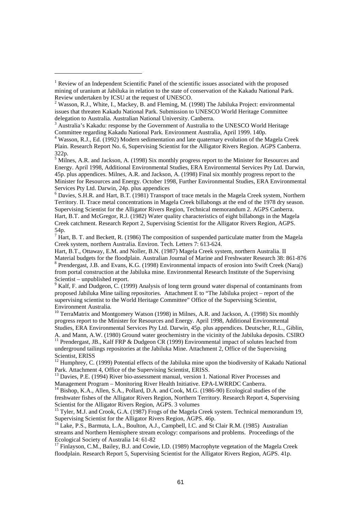$\overline{a}$ 

<sup>6</sup> Davies, S.H.R. and Hart, B.T. (1981) Transport of trace metals in the Magela Creek system, Northern Territory. II. Trace metal concentrations in Magela Creek billabongs at the end of the 1978 dry season. Supervising Scientist for the Alligator Rivers Region, Technical memorandum 2. AGPS Canberra. Hart, B.T. and McGregor, R.J. (1982) Water quality characteristics of eight billabongs in the Magela Creek catchment. Research Report 2, Supervising Scientist for the Alligator Rivers Region, AGPS. 54p.

 $^7$  Hart, B. T. and Beckett, R. (1986) The composition of suspended particulate matter from the Magela Creek system, northern Australia. Environ. Tech. Letters 7: 613-624.

Hart, B.T., Ottaway, E.M. and Noller, B.N. (1987) Magela Creek system, northern Australia. II Material budgets for the floodplain. Australian Journal of Marine and Freshwater Research 38: 861-876 <sup>8</sup> Prendergast, J.B. and Evans, K.G. (1998) Environmental impacts of erosion into Swift Creek (Naraj) from portal construction at the Jabiluka mine. Environmental Research Institute of the Supervising Scientist – unpublished report.

9 Kalf, F. and Dudgeon, C. (1999) Analysis of long term ground water dispersal of contaminants from proposed Jabiluka Mine tailing repositories. Attachment E to "The Jabiluka project – report of the supervising scientist to the World Heritage Committee" Office of the Supervising Scientist, Environment Australia.

<sup>10</sup> TerraMatrix and Montgomery Watson (1998) in Milnes, A.R. and Jackson, A. (1998) Six monthly progress report to the Minister for Resources and Energy. April 1998, Additional Environmental Studies, ERA Environmental Services Pty Ltd. Darwin, 45p. plus appendices. Deutscher, R.L., Giblin, A. and Mann, A.W. (1980) Ground water geochemistry in the vicinity of the Jabiluka deposits. CSIRO <sup>11</sup> Prendergast, JB., Kalf FRP & Dudgeon CR (1999) Environmental impact of solutes leached from underground tailings repositories at the Jabiluka Mine. Attachment 2, Office of the Supervising Scientist, ERISS

<sup>12</sup> Humphrey, C. (1999) Potential effects of the Jabiluka mine upon the biodiversity of Kakadu National Park. Attachment 4, Office of the Supervising Scientist, ERISS.

<sup>13</sup> Davies, P.E. (1994) River bio-assessment manual, version 1. National River Processes and Management Program – Monitoring River Health Initiative. EPA-LWRRDC Canberra.

<sup>14</sup> Bishop, K.A., Allen, S.A., Pollard, D.A. and Cook, M.G. (1986-90) Ecological studies of the freshwater fishes of the Alligator Rivers Region, Northern Territory. Research Report 4, Supervising Scientist for the Alligator Rivers Region, AGPS. 3 volumes

<sup>15</sup> Tyler, M.J. and Crook, G.A. (1987) Frogs of the Magela Creek system. Technical memorandum 19, Supervising Scientist for the Alligator Rivers Region, AGPS. 46p.

<sup>16</sup> Lake, P.S., Barmuta, L.A., Boulton, A.J., Campbell, I.C. and St Clair R.M. (1985) Australian streams and Northern Hemisphere stream ecology: comparisons and problems. Proceedings of the Ecological Society of Australia 14: 61-82

<sup>17</sup> Finlayson, C.M., Bailey, B.J. and Cowie, I.D. (1989) Macrophyte vegetation of the Magela Creek floodplain. Research Report 5, Supervising Scientist for the Alligator Rivers Region, AGPS. 41p.

<sup>&</sup>lt;sup>1</sup> Review of an Independent Scientific Panel of the scientific issues associated with the proposed mining of uranium at Jabiluka in relation to the state of conservation of the Kakadu National Park. Review undertaken by ICSU at the request of UNESCO.

 $2$  Wasson, R.J., White, I., Mackey, B. and Fleming, M. (1998) The Jabiluka Project: environmental issues that threaten Kakadu National Park. Submission to UNESCO World Heritage Committee delegation to Australia. Australian National University. Canberra.

<sup>&</sup>lt;sup>3</sup> Australia's Kakadu: response by the Government of Australia to the UNESCO World Heritage

Committee regarding Kakadu National Park. Environment Australia, April 1999. 140p. 4 Wasson, R.J., Ed. (1992) Modern sedimentation and late quaternary evolution of the Magela Creek Plain. Research Report No. 6, Supervising Scientist for the Alligator Rivers Region. AGPS Canberra. 322p.

<sup>&</sup>lt;sup>5</sup> Milnes, A.R. and Jackson, A. (1998) Six monthly progress report to the Minister for Resources and Energy. April 1998, Additional Environmental Studies, ERA Environmental Services Pty Ltd. Darwin, 45p. plus appendices. Milnes, A.R. and Jackson, A. (1998) Final six monthly progress report to the Minister for Resources and Energy. October 1998, Further Environmental Studies, ERA Environmental Services Pty Ltd. Darwin, 24p. plus appendices